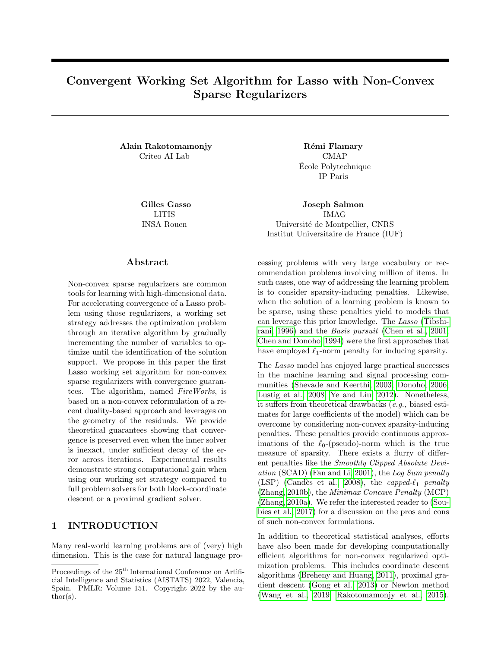# Convergent Working Set Algorithm for Lasso with Non-Convex Sparse Regularizers

Alain Rakotomamonjy R´emi Flamary Criteo AI Lab CMAP

LITIS INSA Rouen

### Abstract

Non-convex sparse regularizers are common tools for learning with high-dimensional data. For accelerating convergence of a Lasso problem using those regularizers, a working set strategy addresses the optimization problem through an iterative algorithm by gradually incrementing the number of variables to optimize until the identification of the solution support. We propose in this paper the first Lasso working set algorithm for non-convex sparse regularizers with convergence guarantees. The algorithm, named FireWorks, is based on a non-convex reformulation of a recent duality-based approach and leverages on the geometry of the residuals. We provide theoretical guarantees showing that convergence is preserved even when the inner solver is inexact, under sufficient decay of the error across iterations. Experimental results demonstrate strong computational gain when using our working set strategy compared to full problem solvers for both block-coordinate descent or a proximal gradient solver.

## 1 INTRODUCTION

Many real-world learning problems are of (very) high dimension. This is the case for natural language proEcole Polytechnique ´ IP Paris

Gilles Gasso Joseph Salmon IMAG Université de Montpellier, CNRS Institut Universitaire de France (IUF)

> cessing problems with very large vocabulary or recommendation problems involving million of items. In such cases, one way of addressing the learning problem is to consider sparsity-inducing penalties. Likewise, when the solution of a learning problem is known to be sparse, using these penalties yield to models that can leverage this prior knowledge. The Lasso [\(Tibshi](#page-10-0)[rani, 1996\)](#page-10-0) and the Basis pursuit [\(Chen et al., 2001;](#page-9-0) [Chen and Donoho, 1994\)](#page-9-1) were the first approaches that have employed  $\ell_1$ -norm penalty for inducing sparsity.

> The Lasso model has enjoyed large practical successes in the machine learning and signal processing communities [\(Shevade and Keerthi, 2003;](#page-10-1) [Donoho, 2006;](#page-9-2) [Lustig et al., 2008;](#page-9-3) [Ye and Liu, 2012\)](#page-10-2). Nonetheless, it suffers from theoretical drawbacks (e.g., biased estimates for large coefficients of the model) which can be overcome by considering non-convex sparsity-inducing penalties. These penalties provide continuous approximations of the  $\ell_0$ -(pseudo)-norm which is the true measure of sparsity. There exists a flurry of different penalties like the Smoothly Clipped Absolute Deviation (SCAD) [\(Fan and Li, 2001\)](#page-9-4), the Log Sum penalty (LSP) (Candès et al., 2008), the capped- $\ell_1$  penalty [\(Zhang, 2010b\)](#page-10-3), the Minimax Concave Penalty (MCP) [\(Zhang, 2010a\)](#page-10-4). We refer the interested reader to [\(Sou](#page-10-5)[bies et al., 2017\)](#page-10-5) for a discussion on the pros and cons of such non-convex formulations.

> In addition to theoretical statistical analyses, efforts have also been made for developing computationally efficient algorithms for non-convex regularized optimization problems. This includes coordinate descent algorithms [\(Breheny and Huang, 2011\)](#page-9-6), proximal gradient descent [\(Gong et al., 2013\)](#page-9-7) or Newton method [\(Wang et al., 2019;](#page-10-6) [Rakotomamonjy et al., 2015\)](#page-10-7).

Proceedings of the  $25^{\text{th}}$  International Conference on Artificial Intelligence and Statistics (AISTATS) 2022, Valencia, Spain. PMLR: Volume 151. Copyright 2022 by the au- $\text{thor}(s)$ .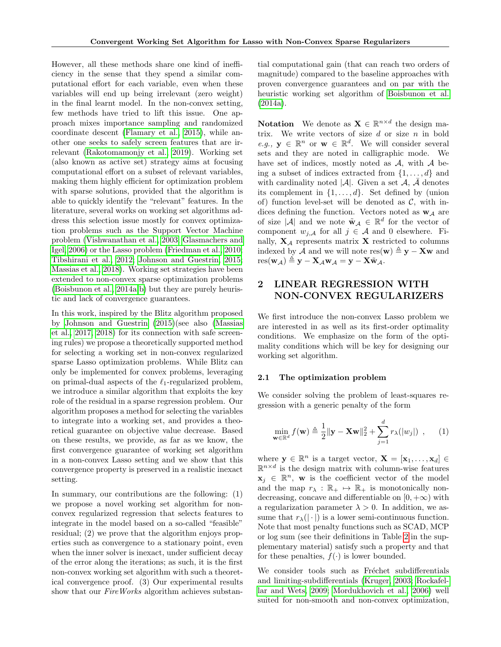However, all these methods share one kind of inefficiency in the sense that they spend a similar computational effort for each variable, even when these variables will end up being irrelevant (zero weight) in the final learnt model. In the non-convex setting, few methods have tried to lift this issue. One approach mixes importance sampling and randomized coordinate descent [\(Flamary et al., 2015\)](#page-9-8), while another one seeks to safely screen features that are irrelevant [\(Rakotomamonjy et al., 2019\)](#page-10-8). Working set (also known as active set) strategy aims at focusing computational effort on a subset of relevant variables, making them highly efficient for optimization problem with sparse solutions, provided that the algorithm is able to quickly identify the "relevant" features. In the literature, several works on working set algorithms address this selection issue mostly for convex optimization problems such as the Support Vector Machine problem [\(Vishwanathan et al., 2003;](#page-10-9) [Glasmachers and](#page-9-9) [Igel, 2006\)](#page-9-9) or the Lasso problem [\(Friedman et al., 2010;](#page-9-10) [Tibshirani et al., 2012;](#page-10-10) [Johnson and Guestrin, 2015;](#page-9-11) [Massias et al., 2018\)](#page-9-12). Working set strategies have been extended to non-convex sparse optimization problems [\(Boisbunon et al., 2014a](#page-9-13)[,b\)](#page-9-14) but they are purely heuristic and lack of convergence guarantees.

In this work, inspired by the Blitz algorithm proposed by [Johnson and Guestrin](#page-9-11) [\(2015\)](#page-9-11)(see also [\(Massias](#page-9-15) [et al., 2017,](#page-9-15) [2018\)](#page-9-12) for its connection with safe screening rules) we propose a theoretically supported method for selecting a working set in non-convex regularized sparse Lasso optimization problems. While Blitz can only be implemented for convex problems, leveraging on primal-dual aspects of the  $\ell_1$ -regularized problem, we introduce a similar algorithm that exploits the key role of the residual in a sparse regression problem. Our algorithm proposes a method for selecting the variables to integrate into a working set, and provides a theoretical guarantee on objective value decrease. Based on these results, we provide, as far as we know, the first convergence guarantee of working set algorithm in a non-convex Lasso setting and we show that this convergence property is preserved in a realistic inexact setting.

In summary, our contributions are the following: (1) we propose a novel working set algorithm for nonconvex regularized regression that selects features to integrate in the model based on a so-called "feasible" residual; (2) we prove that the algorithm enjoys properties such as convergence to a stationary point, even when the inner solver is inexact, under sufficient decay of the error along the iterations; as such, it is the first non-convex working set algorithm with such a theoretical convergence proof. (3) Our experimental results show that our FireWorks algorithm achieves substan-

tial computational gain (that can reach two orders of magnitude) compared to the baseline approaches with proven convergence guarantees and on par with the heuristic working set algorithm of [Boisbunon et al.](#page-9-13)  $(2014a).$  $(2014a).$ 

**Notation** We denote as  $\mathbf{X} \in \mathbb{R}^{n \times d}$  the design matrix. We write vectors of size  $d$  or size  $n$  in bold e.g.,  $y \in \mathbb{R}^n$  or  $w \in \mathbb{R}^d$ . We will consider several sets and they are noted in calligraphic mode. We have set of indices, mostly noted as  $A$ , with  $A$  being a subset of indices extracted from  $\{1, \ldots, d\}$  and with cardinality noted  $|\mathcal{A}|$ . Given a set  $\mathcal{A}, \bar{\mathcal{A}}$  denotes its complement in  $\{1, \ldots, d\}$ . Set defined by (union of) function level-set will be denoted as  $\mathcal{C}$ , with indices defining the function. Vectors noted as  $w_A$  are of size |A| and we note  $\tilde{\mathbf{w}}_{\mathcal{A}} \in \mathbb{R}^d$  for the vector of component  $w_{j,A}$  for all  $j \in A$  and 0 elsewhere. Finally,  $X_A$  represents matrix X restricted to columns indexed by A and we will note res(w)  $\triangleq$  y – Xw and  $res(\mathbf{w}_{\mathcal{A}}) \triangleq \mathbf{y} - \mathbf{X}_{\mathcal{A}} \mathbf{w}_{\mathcal{A}} = \mathbf{y} - \mathbf{X} \tilde{\mathbf{w}}_{\mathcal{A}}.$ 

# 2 LINEAR REGRESSION WITH NON-CONVEX REGULARIZERS

We first introduce the non-convex Lasso problem we are interested in as well as its first-order optimality conditions. We emphasize on the form of the optimality conditions which will be key for designing our working set algorithm.

### 2.1 The optimization problem

We consider solving the problem of least-squares regression with a generic penalty of the form

<span id="page-1-0"></span>
$$
\min_{\mathbf{w}\in\mathbb{R}^d} f(\mathbf{w}) \triangleq \frac{1}{2} \|\mathbf{y} - \mathbf{X}\mathbf{w}\|_2^2 + \sum_{j=1}^d r_\lambda(|w_j|) , \qquad (1)
$$

where  $\mathbf{y} \in \mathbb{R}^n$  is a target vector,  $\mathbf{X} = [\mathbf{x}_1, \dots, \mathbf{x}_d] \in$  $\mathbb{R}^{n \times d}$  is the design matrix with column-wise features  $x_j \in \mathbb{R}^n$ , w is the coefficient vector of the model and the map  $r_{\lambda}: \mathbb{R}_{+} \mapsto \mathbb{R}_{+}$  is monotonically nondecreasing, concave and differentiable on  $[0, +\infty)$  with a regularization parameter  $\lambda > 0$ . In addition, we assume that  $r_{\lambda}(|\cdot|)$  is a lower semi-continuous function. Note that most penalty functions such as SCAD, MCP or log sum (see their definitions in Table [2](#page-12-0) in the supplementary material) satisfy such a property and that for these penalties,  $f(\cdot)$  is lower bounded.

We consider tools such as Fréchet subdifferentials and limiting-subdifferentials [\(Kruger, 2003;](#page-9-16) [Rockafel](#page-10-11)[lar and Wets, 2009;](#page-10-11) [Mordukhovich et al., 2006\)](#page-9-17) well suited for non-smooth and non-convex optimization,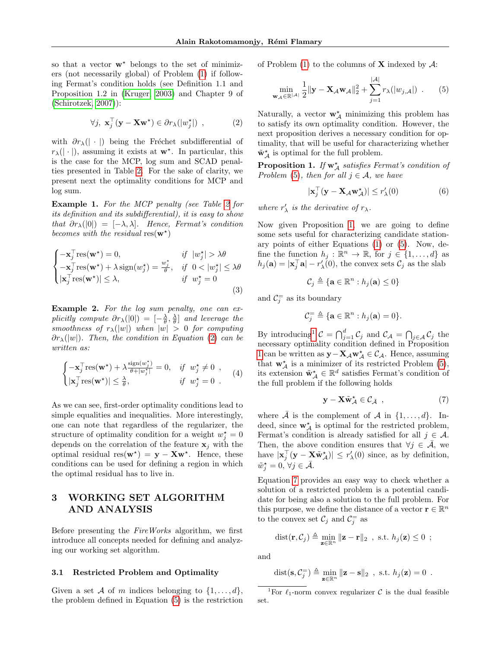so that a vector  $\mathbf{w}^*$  belongs to the set of minimizers (not necessarily global) of Problem [\(1\)](#page-1-0) if following Fermat's condition holds (see Definition 1.1 and Proposition 1.2 in [\(Kruger, 2003\)](#page-9-16) and Chapter 9 of [\(Schirotzek, 2007\)](#page-10-12)):

<span id="page-2-0"></span>
$$
\forall j, \ \mathbf{x}_j^\top (\mathbf{y} - \mathbf{X} \mathbf{w}^\star) \in \partial r_\lambda(|w_j^\star|) \ , \tag{2}
$$

with  $\partial r_{\lambda}(|\cdot|)$  being the Fréchet subdifferential of  $r_{\lambda}(|\cdot|)$ , assuming it exists at  $\mathbf{w}^*$ . In particular, this is the case for the MCP, log sum and SCAD penalties presented in Table [2.](#page-12-0) For the sake of clarity, we present next the optimality conditions for MCP and log sum.

Example 1. For the MCP penalty (see Table [2](#page-12-0) for its definition and its subdifferential), it is easy to show that  $\partial r_{\lambda}(|0|) = [-\lambda, \lambda]$ . Hence, Fermat's condition becomes with the residual  $res(\mathbf{w}^*)$ 

$$
\begin{cases}\n-\mathbf{x}_j^{\top} \text{res}(\mathbf{w}^*) = 0, & \text{if } |w_j^*| > \lambda \theta \\
-\mathbf{x}_j^{\top} \text{res}(\mathbf{w}^*) + \lambda \text{sign}(w_j^*) = \frac{w_j^*}{\theta}, & \text{if } 0 < |w_j^*| \le \lambda \theta \\
|\mathbf{x}_j^{\top} \text{res}(\mathbf{w}^*)| \le \lambda, & \text{if } w_j^* = 0\n\end{cases}
$$
\n(3)

Example 2. For the log sum penalty, one can explicitly compute  $\partial r_{\lambda}(|0|) = \left[-\frac{\lambda}{\theta}, \frac{\lambda}{\theta}\right]$  and leverage the smoothness of  $r_{\lambda}(|w|)$  when  $|w| > 0$  for computing  $\partial r_{\lambda}(|w|)$ . Then, the condition in Equation [\(2\)](#page-2-0) can be written as:

$$
\begin{cases}\n-\mathbf{x}_j^{\top} \text{res}(\mathbf{w}^*) + \lambda \frac{\text{sign}(w_j^*)}{\theta + |w_j^*|} = 0, & \text{if } w_j^* \neq 0, \\
|\mathbf{x}_j^{\top} \text{res}(\mathbf{w}^*)| \le \frac{\lambda}{\theta}, & \text{if } w_j^* = 0.\n\end{cases} (4)
$$

As we can see, first-order optimality conditions lead to simple equalities and inequalities. More interestingly, one can note that regardless of the regularizer, the structure of optimality condition for a weight  $w_j^* = 0$ depends on the correlation of the feature  $x_j$  with the optimal residual res $(\mathbf{w}^*) = \mathbf{y} - \mathbf{X}\mathbf{w}^*$ . Hence, these conditions can be used for defining a region in which the optimal residual has to live in.

# 3 WORKING SET ALGORITHM AND ANALYSIS

Before presenting the FireWorks algorithm, we first introduce all concepts needed for defining and analyzing our working set algorithm.

#### 3.1 Restricted Problem and Optimality

Given a set A of m indices belonging to  $\{1, \ldots, d\}$ , the problem defined in Equation [\(5\)](#page-2-1) is the restriction of Problem  $(1)$  to the columns of **X** indexed by A:

<span id="page-2-1"></span>
$$
\min_{\mathbf{w}_{\mathcal{A}} \in \mathbb{R}^{|\mathcal{A}|}} \frac{1}{2} \|\mathbf{y} - \mathbf{X}_{\mathcal{A}} \mathbf{w}_{\mathcal{A}}\|_{2}^{2} + \sum_{j=1}^{|\mathcal{A}|} r_{\lambda}(|w_{j,\mathcal{A}}|) \quad . \tag{5}
$$

Naturally, a vector  $\mathbf{w}_{\mathcal{A}}^*$  minimizing this problem has to satisfy its own optimality condition. However, the next proposition derives a necessary condition for optimality, that will be useful for characterizing whether  $\tilde{\mathbf{w}}_{\mathcal{A}}^{\star}$  is optimal for the full problem.

<span id="page-2-2"></span>**Proposition 1.** If  $w^*_{\mathcal{A}}$  satisfies Fermat's condition of Problem [\(5\)](#page-2-1), then for all  $j \in \mathcal{A}$ , we have

$$
|\mathbf{x}_j^\top(\mathbf{y} - \mathbf{X}_{\mathcal{A}} \mathbf{w}_{\mathcal{A}}^*)| \le r_\lambda'(0)
$$
 (6)

where  $r'_{\lambda}$  is the derivative of  $r_{\lambda}$ .

Now given Proposition [1,](#page-2-2) we are going to define some sets useful for characterizing candidate stationary points of either Equations [\(1\)](#page-1-0) or [\(5\)](#page-2-1). Now, define the function  $h_j : \mathbb{R}^n \to \mathbb{R}$ , for  $j \in \{1, ..., d\}$  as  $h_j(\mathbf{a}) = |\mathbf{x}_j^\top \mathbf{a}| - r'_{\lambda}(0)$ , the convex sets  $\mathcal{C}_j$  as the slab

$$
\mathcal{C}_j \triangleq \{ \mathbf{a} \in \mathbb{R}^n : h_j(\mathbf{a}) \le 0 \}
$$

and  $C_j^=$  as its boundary

$$
\mathcal{C}_j^{\dagger} \triangleq \{ \mathbf{a} \in \mathbb{R}^n : h_j(\mathbf{a}) = 0 \}.
$$

<span id="page-2-6"></span>By introducing<sup>[1](#page-2-3)</sup>  $\mathcal{C} = \bigcap_{j=1}^d \mathcal{C}_j$  and  $\mathcal{C}_{\mathcal{A}} = \bigcap_{j \in \mathcal{A}} \mathcal{C}_j$  the necessary optimality condition defined in Proposition [1](#page-2-2) can be written as  $\mathbf{y} - \mathbf{X}_{\mathcal{A}} \mathbf{w}_{\mathcal{A}}^* \in \mathcal{C}_{\mathcal{A}}$ . Hence, assuming that  $\mathbf{w}_{\mathcal{A}}^{\star}$  is a minimizer of its restricted Problem [\(5\)](#page-2-1), its extension  $\tilde{\mathbf{w}}^{\star}_{\mathcal{A}} \in \mathbb{R}^d$  satisfies Fermat's condition of the full problem if the following holds

<span id="page-2-4"></span>
$$
\mathbf{y} - \mathbf{X} \tilde{\mathbf{w}}_{\mathcal{A}}^{\star} \in \mathcal{C}_{\bar{\mathcal{A}}} \quad , \tag{7}
$$

where  $\overline{A}$  is the complement of  $A$  in  $\{1, \ldots, d\}$ . Indeed, since  $\mathbf{w}_{\mathcal{A}}^{\star}$  is optimal for the restricted problem, Fermat's condition is already satisfied for all  $j \in \mathcal{A}$ . Then, the above condition ensures that  $\forall j \in \bar{\mathcal{A}}$ , we have  $|\mathbf{x}_{j}^{\top}(\mathbf{y}-\mathbf{X}\tilde{\mathbf{w}}_{\mathcal{A}}^{\star})|\leq r_{\lambda}'(0)$  since, as by definition,  $\tilde{w}_j^* = 0, \forall j \in \bar{\mathcal{A}}.$ 

Equation [7](#page-2-4) provides an easy way to check whether a solution of a restricted problem is a potential candidate for being also a solution to the full problem. For this purpose, we define the distance of a vector  $\mathbf{r} \in \mathbb{R}^n$ to the convex set  $\mathcal{C}_j$  and  $\mathcal{C}_j^=$  as

<span id="page-2-5"></span>dist
$$
(\mathbf{r}, C_j) \triangleq \min_{\mathbf{z} \in \mathbb{R}^n} ||\mathbf{z} - \mathbf{r}||_2
$$
, s.t.  $h_j(\mathbf{z}) \leq 0$ ;

and

$$
\text{dist}(\mathbf{s},\mathcal{C}_j^=)\triangleq\min_{\mathbf{z}\in\mathbb{R}^n}\|\mathbf{z}-\mathbf{s}\|_2\;\;,\;\text{s.t.}\;h_j(\mathbf{z})=0\;\;.
$$

<span id="page-2-3"></span><sup>1</sup>For  $\ell_1$ -norm convex regularizer C is the dual feasible set.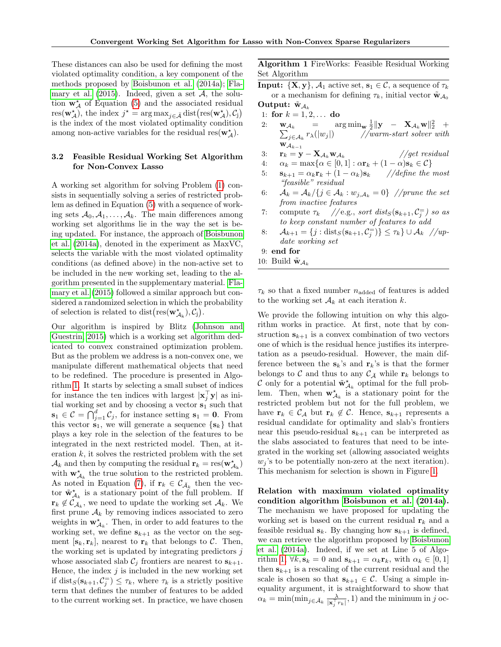These distances can also be used for defining the most violated optimality condition, a key component of the methods proposed by [Boisbunon et al.](#page-9-13) [\(2014a\)](#page-9-13); [Fla](#page-9-8)[mary et al.](#page-9-8)  $(2015)$ . Indeed, given a set A, the solution  $\mathbf{w}_{\mathcal{A}}^{\star}$  of Equation [\(5\)](#page-2-1) and the associated residual res $(\mathbf{w}_{\mathcal{A}}^{\star}),$  the index  $j^* = \arg \max_{j \in \mathcal{A}} \text{dist}(\text{res}(\mathbf{w}_{\mathcal{A}}^{\star}), \mathcal{C}_{j})$ is the index of the most violated optimality condition among non-active variables for the residual res $(\mathbf{w}_{\mathcal{A}}^{\star}).$ 

## 3.2 Feasible Residual Working Set Algorithm for Non-Convex Lasso

A working set algorithm for solving Problem [\(1\)](#page-1-0) consists in sequentially solving a series of restricted problem as defined in Equation [\(5\)](#page-2-1) with a sequence of working sets  $A_0, A_1, \ldots, A_k$ . The main differences among working set algorithms lie in the way the set is being updated. For instance, the approach of [Boisbunon](#page-9-13) [et al.](#page-9-13) [\(2014a\)](#page-9-13), denoted in the experiment as MaxVC, selects the variable with the most violated optimality conditions (as defined above) in the non-active set to be included in the new working set, leading to the algorithm presented in the supplementary material. [Fla](#page-9-8)[mary et al.](#page-9-8) [\(2015\)](#page-9-8) followed a similar approach but considered a randomized selection in which the probability of selection is related to dist $(\text{res}(\mathbf{w}_{A_k}^{\star}), C_j)$ .

Our algorithm is inspired by Blitz [\(Johnson and](#page-9-11) [Guestrin, 2015\)](#page-9-11) which is a working set algorithm dedicated to convex constrained optimization problem. But as the problem we address is a non-convex one, we manipulate different mathematical objects that need to be redefined. The procedure is presented in Algorithm [1.](#page-3-0) It starts by selecting a small subset of indices for instance the ten indices with largest  $|\mathbf{x}_j^{\top}\mathbf{y}|$  as initial working set and by choosing a vector  $s_1$  such that  $\mathbf{s}_1 \in \mathcal{C} = \bigcap_{j=1}^d \mathcal{C}_j$ , for instance setting  $\mathbf{s}_1 = \mathbf{0}$ . From this vector  $s_1$ , we will generate a sequence  $\{s_k\}$  that plays a key role in the selection of the features to be integrated in the next restricted model. Then, at iteration  $k$ , it solves the restricted problem with the set  $\mathcal{A}_k$  and then by computing the residual  $\mathbf{r}_k = \text{res}(\mathbf{w}_{\mathcal{A}_k}^{\star})$ with  $\mathbf{w}_{\mathcal{A}_k}^*$  the true solution to the restricted problem. As noted in Equation [\(7\)](#page-2-4), if  $\mathbf{r}_k \in \mathcal{C}_{\bar{\mathcal{A}}_k}$  then the vector  $\tilde{\mathbf{w}}_{A_k}^{\star}$  is a stationary point of the full problem. If  $\mathbf{r}_k \notin \mathcal{C}_{\bar{\mathcal{A}}_k}$ , we need to update the working set  $\mathcal{A}_k$ . We first prune  $A_k$  by removing indices associated to zero weights in  $\mathbf{w}_{\mathcal{A}_k}^{\star}$ . Then, in order to add features to the working set, we define  $s_{k+1}$  as the vector on the segment  $[\mathbf{s}_k, \mathbf{r}_k]$ , nearest to  $\mathbf{r}_k$  that belongs to C. Then, the working set is updated by integrating predictors  $j$ whose associated slab  $\mathcal{C}_j$  frontiers are nearest to  $\mathbf{s}_{k+1}$ . Hence, the index  $j$  is included in the new working set if  $dist_S(s_{k+1}, \mathcal{C}_j^{-}) \leq \tau_k$ , where  $\tau_k$  is a strictly positive term that defines the number of features to be added to the current working set. In practice, we have chosen

Algorithm 1 FireWorks: Feasible Residual Working Set Algorithm

<span id="page-3-0"></span>**Input:**  $\{X, y\}, \mathcal{A}_1$  active set,  $s_1 \in \mathcal{C}$ , a sequence of  $\tau_k$ or a mechanism for defining  $\tau_k$ , initial vector  $\tilde{\mathbf{w}}_{A_0}$ 

Output:  $\tilde{w}_{A_k}$ 1: for  $k = 1, 2, ...$  do

- 2:  $\mathbf{w}_{\mathcal{A}_k}$  =  $\arg \min_{\mathbf{w}} \frac{1}{2} {\lVert \mathbf{y} \mathbf{X}_{\mathcal{A}_k} \mathbf{w} \rVert_2^2}$  +  $\sum_{j\in\mathcal{A}_k}$  $r_{\lambda}(|w_j|)$  //warm-start solver with  $\mathbf{w}_{\mathcal{A}_{k-1}}$
- 3:  $\mathbf{r}_k = \mathbf{y} \mathbf{X}_{\mathcal{A}_k} \mathbf{w}_{\mathcal{A}_k}$ //get residual
- 4:  $\alpha_k = \max\{\alpha \in [0,1] : \alpha \mathbf{r}_k + (1-\alpha)\mathbf{s}_k \in \mathcal{C}\}\$
- 5:  $\mathbf{s}_{k+1} = \alpha_k \mathbf{r}_k + (1 \alpha_k) \mathbf{s}_k$  //define the most "feasible" residual
- 6:  $\mathcal{A}_k = \mathcal{A}_k / \{j \in \mathcal{A}_k : w_{j, \mathcal{A}_k} = 0\}$  //prune the set from inactive features
- 7: compute  $\tau_k$  // e.g., sort dist<sub>S</sub>( $\mathbf{s}_{k+1}, \mathcal{C}^-_j$ ) so as to keep constant number of features to add
- 8:  $\mathcal{A}_{k+1} = \{j : \text{dist}_S(\mathbf{s}_{k+1}, C_j^{-})\} \leq \tau_k \} \cup \mathcal{A}_k$  //update working set
- 9: end for
- 10: Build  $\tilde{\mathbf{w}}_{\mathcal{A}_k}$

 $\tau_k$  so that a fixed number  $n_{\text{added}}$  of features is added to the working set  $A_k$  at each iteration k.

We provide the following intuition on why this algorithm works in practice. At first, note that by construction  $s_{k+1}$  is a convex combination of two vectors one of which is the residual hence justifies its interpretation as a pseudo-residual. However, the main difference between the  $s_k$ 's and  $r_k$ 's is that the former belongs to C and thus to any  $\mathcal{C}_{\bar{\mathcal{A}}}$  while  $\mathbf{r}_k$  belongs to C only for a potential  $\tilde{\mathbf{w}}_{A_k}^{\star}$  optimal for the full problem. Then, when  $\mathbf{w}_{\mathcal{A}_k}^{\star}$  is a stationary point for the restricted problem but not for the full problem, we have  $\mathbf{r}_k \in \mathcal{C}_{\mathcal{A}}$  but  $\mathbf{r}_k \notin \mathcal{C}$ . Hence,  $\mathbf{s}_{k+1}$  represents a residual candidate for optimality and slab's frontiers near this pseudo-residual  $s_{k+1}$  can be interpreted as the slabs associated to features that need to be integrated in the working set (allowing associated weights  $w_i$ 's to be potentially non-zero at the next iteration). This mechanism for selection is shown in Figure [1.](#page-4-0)

Relation with maximum violated optimality condition algorithm [Boisbunon et al.](#page-9-13) [\(2014a\)](#page-9-13). The mechanism we have proposed for updating the working set is based on the current residual  $r_k$  and a feasible residual  $s_k$ . By changing how  $s_{k+1}$  is defined, we can retrieve the algorithm proposed by [Boisbunon](#page-9-13) [et al.](#page-9-13) [\(2014a\)](#page-9-13). Indeed, if we set at Line 5 of Algo-rithm [1,](#page-3-0)  $\forall k, \mathbf{s}_k = 0$  and  $\mathbf{s}_{k+1} = \alpha_k \mathbf{r}_k$ , with  $\alpha_k \in [0, 1]$ then  $s_{k+1}$  is a rescaling of the current residual and the scale is chosen so that  $s_{k+1} \in C$ . Using a simple inequality argument, it is straightforward to show that  $\alpha_k = \min(\min_{j \in \bar{\mathcal{A}}_k} \frac{\lambda}{|\mathbf{x}_j^{\top} r_k|}, 1)$  and the minimum in j oc-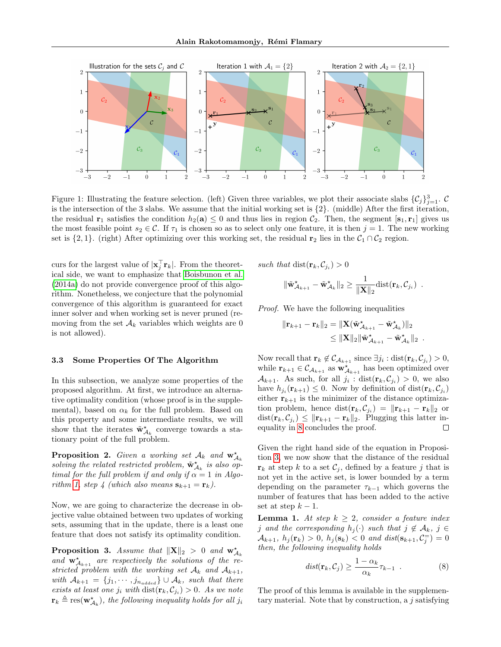

<span id="page-4-0"></span>Figure 1: Illustrating the feature selection. (left) Given three variables, we plot their associate slabs  $\{\mathcal{C}_j\}_{j=1}^3$ . C is the intersection of the 3 slabs. We assume that the initial working set is  $\{2\}$ . (middle) After the first iteration, the residual  $\mathbf{r}_1$  satisfies the condition  $h_2(\mathbf{a}) \leq 0$  and thus lies in region  $\mathcal{C}_2$ . Then, the segment  $[\mathbf{s}_1, \mathbf{r}_1]$  gives us the most feasible point  $s_2 \in \mathcal{C}$ . If  $\tau_1$  is chosen so as to select only one feature, it is then  $j = 1$ . The new working set is  $\{2, 1\}$ . (right) After optimizing over this working set, the residual r<sub>2</sub> lies in the  $C_1 \cap C_2$  region.

curs for the largest value of  $|\mathbf{x}_j^{\top} \mathbf{r}_k|$ . From the theoretical side, we want to emphasize that [Boisbunon et al.](#page-9-13) [\(2014a\)](#page-9-13) do not provide convergence proof of this algorithm. Nonetheless, we conjecture that the polynomial convergence of this algorithm is guaranteed for exact inner solver and when working set is never pruned (removing from the set  $\mathcal{A}_k$  variables which weights are 0 is not allowed).

### 3.3 Some Properties Of The Algorithm

In this subsection, we analyze some properties of the proposed algorithm. At first, we introduce an alternative optimality condition (whose proof is in the supplemental), based on  $\alpha_k$  for the full problem. Based on this property and some intermediate results, we will show that the iterates  $\tilde{\mathbf{w}}_{A_k}^{\star}$  converge towards a stationary point of the full problem.

<span id="page-4-3"></span>**Proposition 2.** Given a working set  $A_k$  and  $\mathbf{w}_{A_k}^{\star}$ solving the related restricted problem,  $\tilde{\mathbf{w}}_{A_k}^{\star}$  is also optimal for the full problem if and only if  $\alpha = 1$  in Algo-rithm [1,](#page-3-0) step 4 (which also means  $\mathbf{s}_{k+1} = \mathbf{r}_k$ ).

Now, we are going to characterize the decrease in objective value obtained between two updates of working sets, assuming that in the update, there is a least one feature that does not satisfy its optimality condition.

<span id="page-4-1"></span>**Proposition 3.** Assume that  $||\mathbf{X}||_2 > 0$  and  $\mathbf{w}_{\mathcal{A}_k}^{\star}$ and  $\mathbf{w}_{\mathcal{A}_{k+1}}^{\star}$  are respectively the solutions of the restricted problem with the working set  $\mathcal{A}_k$  and  $\mathcal{A}_{k+1}$ , with  $A_{k+1} = \{j_1, \dots, j_{n_{added}}\} \cup A_k$ , such that there exists at least one  $j_i$  with  $dist(\mathbf{r}_k, C_{j_i}) > 0$ . As we note  $\mathbf{r}_k \triangleq \operatorname{res}(\mathbf{w}^{\star}_{A_k})$ , the following inequality holds for all  $j_i$ 

such that  $dist(\mathbf{r}_k, C_{j_i}) > 0$ 

$$
\|\tilde{\mathbf{w}}_{\mathcal{A}_{k+1}}^{\star} - \tilde{\mathbf{w}}_{\mathcal{A}_k}^{\star}\|_2 \geq \frac{1}{\|\mathbf{X}\|_2} \text{dist}(\mathbf{r}_k, \mathcal{C}_{j_i}) \enspace .
$$

Proof. We have the following inequalities

$$
\begin{aligned} \|\mathbf{r}_{k+1}-\mathbf{r}_k\|_2 &= \|\mathbf{X}(\tilde{\mathbf{w}}_{\mathcal{A}_{k+1}}^{\star}-\tilde{\mathbf{w}}_{\mathcal{A}_k}^{\star})\|_2 \\ &\leq \|\mathbf{X}\|_2\|\tilde{\mathbf{w}}_{\mathcal{A}_{k+1}}^{\star}-\tilde{\mathbf{w}}_{\mathcal{A}_k}^{\star}\|_2 \enspace . \end{aligned}
$$

Now recall that  $\mathbf{r}_k \notin \mathcal{C}_{\mathcal{A}_{k+1}}$  since  $\exists j_i : \text{dist}(\mathbf{r}_k, \mathcal{C}_{j_i}) > 0$ , while  $\mathbf{r}_{k+1} \in \mathcal{C}_{\mathcal{A}_{k+1}}$  as  $\mathbf{w}_{\mathcal{A}_{k+1}}^{\star}$  has been optimized over  $\mathcal{A}_{k+1}$ . As such, for all  $j_i$ :  $dist(\mathbf{r}_k, \mathcal{C}_{j_i}) > 0$ , we also have  $h_{j_i}(\mathbf{r}_{k+1}) \leq 0$ . Now by definition of  $dist(\mathbf{r}_k, C_{j_i})$ either  $r_{k+1}$  is the minimizer of the distance optimization problem, hence  $dist(\mathbf{r}_k, C_{j_i}) = ||\mathbf{r}_{k+1} - \mathbf{r}_k||_2$  or  $dist(\mathbf{r}_k, \mathcal{C}_{j_i}) \leq \|\mathbf{r}_{k+1} - \mathbf{r}_k\|_2$ . Plugging this latter inequality in [8](#page-2-5) concludes the proof.  $\Box$ 

Given the right hand side of the equation in Proposition [3,](#page-4-1) we now show that the distance of the residual  $\mathbf{r}_k$  at step k to a set  $\mathcal{C}_j$ , defined by a feature j that is not yet in the active set, is lower bounded by a term depending on the parameter  $\tau_{k-1}$  which governs the number of features that has been added to the active set at step  $k - 1$ .

<span id="page-4-2"></span>**Lemma 1.** At step  $k \geq 2$ , consider a feature index j and the corresponding  $h_i(\cdot)$  such that  $j \notin \mathcal{A}_k$ ,  $j \in$  $\mathcal{A}_{k+1}, h_j(\mathbf{r}_k) > 0, h_j(\mathbf{s}_k) < 0 \text{ and } dist(\mathbf{s}_{k+1}, \mathcal{C}_j^{\pm}) = 0$ then, the following inequality holds

$$
dist(\mathbf{r}_k, \mathcal{C}_j) \ge \frac{1 - \alpha_k}{\alpha_k} \tau_{k-1} . \tag{8}
$$

The proof of this lemma is available in the supplementary material. Note that by construction, a j satisfying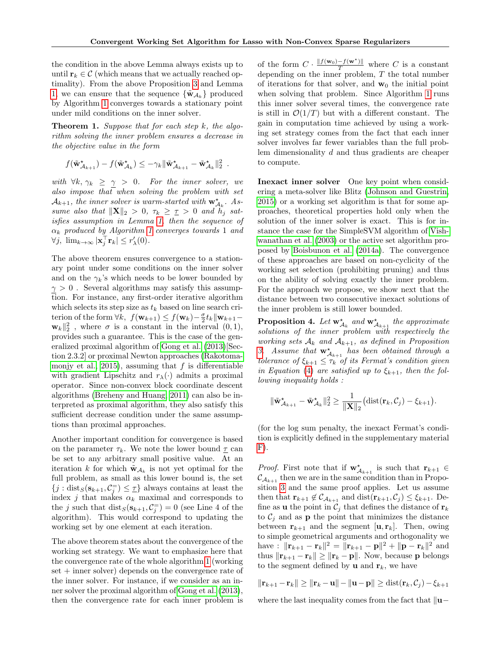the condition in the above Lemma always exists up to until  $\mathbf{r}_k \in \mathcal{C}$  (which means that we actually reached optimality). From the above Proposition [3](#page-4-1) and Lemma [1,](#page-4-2) we can ensure that the sequence  $\{\tilde{\mathbf{w}}_{A_k}\}\$  produced by Algorithm [1](#page-3-0) converges towards a stationary point under mild conditions on the inner solver.

<span id="page-5-0"></span>**Theorem 1.** Suppose that for each step  $k$ , the algorithm solving the inner problem ensures a decrease in the objective value in the form

$$
f(\tilde{\mathbf{w}}_{\mathcal{A}_{k+1}}^{\star}) - f(\tilde{\mathbf{w}}_{\mathcal{A}_k}^{\star}) \leq -\gamma_k \|\tilde{\mathbf{w}}_{\mathcal{A}_{k+1}}^{\star} - \tilde{\mathbf{w}}_{\mathcal{A}_k}^{\star}\|_2^2.
$$

with  $\forall k, \gamma_k \geq \gamma > 0$ . For the inner solver, we also impose that when solving the problem with set  $\mathcal{A}_{k+1}$ , the inner solver is warm-started with  $\mathbf{w}_{\mathcal{A}_k}^{\star}$ . Assume also that  $\|\mathbf{X}\|_2 > 0$ ,  $\tau_k \geq \tau > 0$  and  $h_j$  satisfies assumption in Lemma [1,](#page-4-2) then the sequence of  $\alpha_k$  produced by Algorithm [1](#page-3-0) converges towards 1 and  $\forall j, \lim_{k \to \infty} |\mathbf{x}_j^{\top} \mathbf{r}_k| \leq r_{\lambda}'(0).$ 

The above theorem ensures convergence to a stationary point under some conditions on the inner solver and on the  $\gamma_k$ 's which needs to be lower bounded by  $\gamma > 0$ . Several algorithms may satisfy this assumption. For instance, any first-order iterative algorithm which selects its step size as  $t_k$  based on line search criterion of the form  $\forall k, f(\mathbf{w}_{k+1}) \leq f(\mathbf{w}_k) - \frac{\sigma}{2} t_k ||\mathbf{w}_{k+1} \mathbf{w}_k \|^2_2$ , where  $\sigma$  is a constant in the interval  $(0, 1)$ , provides such a guarantee. This is the case of the generalized proximal algorithm of [Gong et al.](#page-9-7) [\(2013\)](#page-9-7)[Section 2.3.2] or proximal Newton approaches [\(Rakotoma](#page-10-7)[monjy et al., 2015\)](#page-10-7), assuming that  $f$  is differentiable with gradient Lipschitz and  $r_{\lambda}(\cdot)$  admits a proximal operator. Since non-convex block coordinate descent algorithms [\(Breheny and Huang, 2011\)](#page-9-6) can also be interpreted as proximal algorithm, they also satisfy this sufficient decrease condition under the same assumptions than proximal approaches.

Another important condition for convergence is based on the parameter  $\tau_k$ . We note the lower bound  $\underline{\tau}$  can be set to any arbitrary small positive value. At an iteration k for which  $\tilde{\mathbf{w}}_{A_k}$  is not yet optimal for the full problem, as small as this lower bound is, the set  $\{j : \text{dist}_S(\mathbf{s}_{k+1}, \mathcal{C}_j^{\equiv}) \leq \underline{\tau}\}\$ always contains at least the index j that makes  $\alpha_k$  maximal and corresponds to the j such that  $dist_S(s_{k+1}, \mathcal{C}_j^{\equiv}) = 0$  (see Line 4 of the algorithm). This would correspond to updating the working set by one element at each iteration.

The above theorem states about the convergence of the working set strategy. We want to emphasize here that the convergence rate of the whole algorithm [1](#page-3-0) (working set + inner solver) depends on the convergence rate of the inner solver. For instance, if we consider as an inner solver the proximal algorithm of [Gong et al.](#page-9-7) [\(2013\)](#page-9-7), then the convergence rate for each inner problem is

of the form  $C \cdot \frac{\|f(\mathbf{w}_0) - f(\mathbf{w}^*)\|}{T}$  where C is a constant depending on the inner problem,  $T$  the total number of iterations for that solver, and  $w_0$  the initial point when solving that problem. Since Algorithm [1](#page-3-0) runs this inner solver several times, the convergence rate is still in  $\mathcal{O}(1/T)$  but with a different constant. The gain in computation time achieved by using a working set strategy comes from the fact that each inner solver involves far fewer variables than the full problem dimensionality d and thus gradients are cheaper to compute.

Inexact inner solver One key point when considering a meta-solver like Blitz [\(Johnson and Guestrin,](#page-9-11) [2015\)](#page-9-11) or a working set algorithm is that for some approaches, theoretical properties hold only when the solution of the inner solver is exact. This is for instance the case for the SimpleSVM algorithm of [Vish](#page-10-9)[wanathan et al.](#page-10-9) [\(2003\)](#page-10-9) or the active set algorithm proposed by [Boisbunon et al.](#page-9-13) [\(2014a\)](#page-9-13). The convergence of these approaches are based on non-cyclicity of the working set selection (prohibiting pruning) and thus on the ability of solving exactly the inner problem. For the approach we propose, we show next that the distance between two consecutive inexact solutions of the inner problem is still lower bounded.

**Proposition 4.** Let  $\mathbf{w}_{\mathcal{A}_k}^{\star}$  and  $\mathbf{w}_{\mathcal{A}_{k+1}}^{\star}$  the approximate solutions of the inner problem with respectively the working sets  $A_k$  and  $A_{k+1}$ , as defined in Proposition [3.](#page-4-1) Assume that  $\mathbf{w}_{\mathcal{A}_{k+1}}^{\star}$  has been obtained through a tolerance of  $\xi_{k+1} \leq \tau_k$  of its Fermat's condition given in Equation [\(4\)](#page-2-6) are satisfied up to  $\xi_{k+1}$ , then the following inequality holds :

$$
\|\tilde{\mathbf{w}}_{\mathcal{A}_{k+1}}^{\star} - \tilde{\mathbf{w}}_{\mathcal{A}_k}^{\star}\|_2^2 \ge \frac{1}{\|\mathbf{X}\|_2} \big(\text{dist}(\mathbf{r}_k, \mathcal{C}_j) - \xi_{k+1}\big).
$$

(for the log sum penalty, the inexact Fermat's condition is explicitly defined in the supplementary material  $F$ ).

*Proof.* First note that if  $\mathbf{w}_{\mathcal{A}_{k+1}}^{\star}$  is such that  $\mathbf{r}_{k+1} \in$  $\mathcal{C}_{\mathcal{A}_{k+1}}$  then we are in the same condition than in Proposition [3](#page-4-1) and the same proof applies. Let us assume then that  $\mathbf{r}_{k+1} \notin \mathcal{C}_{\mathcal{A}_{k+1}}$  and  $dist(\mathbf{r}_{k+1}, \mathcal{C}_j) \leq \xi_{k+1}$ . Define as **u** the point in  $C_j$  that defines the distance of  $r_k$ to  $\mathcal{C}_i$  and as **p** the point that minimizes the distance between  $\mathbf{r}_{k+1}$  and the segment  $[\mathbf{u}, \mathbf{r}_k]$ . Then, owing to simple geometrical arguments and orthogonality we have :  $\|\mathbf{r}_{k+1} - \mathbf{r}_k\|^2 = \|\mathbf{r}_{k+1} - \mathbf{p}\|^2 + \|\mathbf{p} - \mathbf{r}_k\|^2$  and thus  $\|\mathbf{r}_{k+1} - \mathbf{r}_k\| \geq \|\mathbf{r}_k - \mathbf{p}\|$ . Now, because p belongs to the segment defined by **u** and  $\mathbf{r}_k$ , we have

$$
\|\mathbf{r}_{k+1}-\mathbf{r}_k\| \ge \|\mathbf{r}_k-\mathbf{u}\| - \|\mathbf{u}-\mathbf{p}\| \ge \text{dist}(\mathbf{r}_k, \mathcal{C}_j) - \xi_{k+1}
$$

where the last inequality comes from the fact that  $\|\mathbf{u}-\|$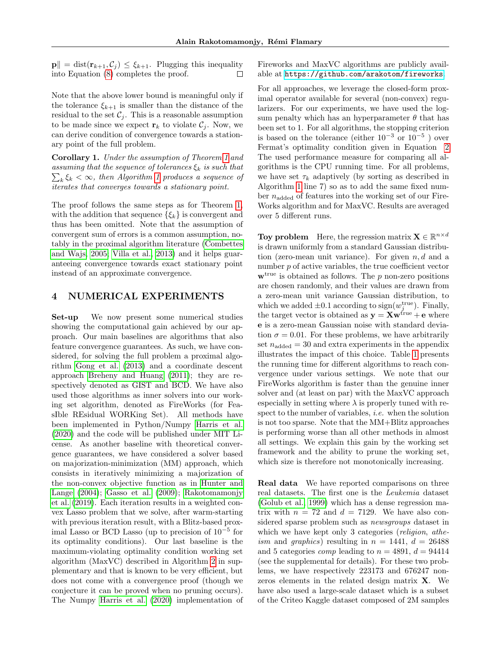$\|\mathbf{p}\| = \text{dist}(\mathbf{r}_{k+1}, \mathcal{C}_i) \leq \xi_{k+1}$ . Plugging this inequality into Equation [\(8\)](#page-2-5) completes the proof.  $\Box$ 

Note that the above lower bound is meaningful only if the tolerance  $\xi_{k+1}$  is smaller than the distance of the residual to the set  $C_j$ . This is a reasonable assumption to be made since we expect  $\mathbf{r}_k$  to violate  $\mathcal{C}_j$ . Now, we can derive condition of convergence towards a stationary point of the full problem.

Corollary 1. Under the assumption of Theorem [1](#page-5-0) and  $\sum_{k} \xi_k < \infty$ , then Algorithm [1](#page-3-0) produces a sequence of assuming that the sequence of tolerances  $\xi_k$  is such that iterates that converges towards a stationary point.

The proof follows the same steps as for Theorem [1,](#page-5-0) with the addition that sequence  $\{\xi_k\}$  is convergent and thus has been omitted. Note that the assumption of convergent sum of errors is a common assumption, notably in the proximal algorithm literature [\(Combettes](#page-9-18) [and Wajs, 2005;](#page-9-18) [Villa et al., 2013\)](#page-10-13) and it helps guaranteeing convergence towards exact stationary point instead of an approximate convergence.

# 4 NUMERICAL EXPERIMENTS

Set-up We now present some numerical studies showing the computational gain achieved by our approach. Our main baselines are algorithms that also feature convergence guarantees. As such, we have considered, for solving the full problem a proximal algorithm [Gong et al.](#page-9-7) [\(2013\)](#page-9-7) and a coordinate descent approach [Breheny and Huang](#page-9-6) [\(2011\)](#page-9-6); they are respectively denoted as GIST and BCD. We have also used those algorithms as inner solvers into our working set algorithm, denoted as FireWorks (for FeasIble REsidual WORKing Set). All methods have been implemented in Python/Numpy [Harris et al.](#page-9-19) [\(2020\)](#page-9-19) and the code will be published under MIT License. As another baseline with theoretical convergence guarantees, we have considered a solver based on majorization-minimization (MM) approach, which consists in iteratively minimizing a majorization of the non-convex objective function as in [Hunter and](#page-9-20) [Lange](#page-9-20) [\(2004\)](#page-9-20); [Gasso et al.](#page-9-21) [\(2009\)](#page-9-21); [Rakotomamonjy](#page-10-8) [et al.](#page-10-8) [\(2019\)](#page-10-8). Each iteration results in a weighted convex Lasso problem that we solve, after warm-starting with previous iteration result, with a Blitz-based proximal Lasso or BCD Lasso (up to precision of 10<sup>−</sup><sup>5</sup> for its optimality conditions). Our last baseline is the maximum-violating optimality condition working set algorithm (MaxVC) described in Algorithm [2](#page-11-0) in supplementary and that is known to be very efficient, but does not come with a convergence proof (though we conjecture it can be proved when no pruning occurs). The Numpy [Harris et al.](#page-9-19) [\(2020\)](#page-9-19) implementation of Fireworks and MaxVC algorithms are publicly available at <https://github.com/arakotom/fireworks>.

For all approaches, we leverage the closed-form proximal operator available for several (non-convex) regularizers. For our experiments, we have used the logsum penalty which has an hyperparameter  $\theta$  that has been set to 1. For all algorithms, the stopping criterion is based on the tolerance (either  $10^{-3}$  or  $10^{-5}$ ) over Fermat's optimality condition given in Equation [2](#page-2-0) The used performance measure for comparing all algorithms is the CPU running time. For all problems, we have set  $\tau_k$  adaptively (by sorting as described in Algorithm [1](#page-3-0) line 7) so as to add the same fixed number  $n_{\text{added}}$  of features into the working set of our Fire-Works algorithm and for MaxVC. Results are averaged over 5 different runs.

**Toy problem** Here, the regression matrix  $\mathbf{X} \in \mathbb{R}^{n \times d}$ is drawn uniformly from a standard Gaussian distribution (zero-mean unit variance). For given  $n, d$  and a number p of active variables, the true coefficient vector  $\mathbf{w}^{\text{true}}$  is obtained as follows. The p non-zero positions are chosen randomly, and their values are drawn from a zero-mean unit variance Gaussian distribution, to which we added  $\pm 0.1$  according to  $sign(w_j^{\text{true}})$ . Finally, the target vector is obtained as  $y = Xw^{true} + e$  where e is a zero-mean Gaussian noise with standard deviation  $\sigma = 0.01$ . For these problems, we have arbitrarily set  $n_{\text{added}} = 30$  and extra experiments in the appendix illustrates the impact of this choice. Table [1](#page-7-0) presents the running time for different algorithms to reach convergence under various settings. We note that our FireWorks algorithm is faster than the genuine inner solver and (at least on par) with the MaxVC approach especially in setting where  $\lambda$  is properly tuned with respect to the number of variables, i.e. when the solution is not too sparse. Note that the MM+Blitz approaches is performing worse than all other methods in almost all settings. We explain this gain by the working set framework and the ability to prune the working set, which size is therefore not monotonically increasing.

Real data We have reported comparisons on three real datasets. The first one is the Leukemia dataset [\(Golub et al., 1999\)](#page-9-22) which has a dense regression matrix with  $n = 72$  and  $d = 7129$ . We have also considered sparse problem such as newsgroups dataset in which we have kept only 3 categories *(religion, athe*ism and graphics) resulting in  $n = 1441$ ,  $d = 26488$ and 5 categories *comp* leading to  $n = 4891$ ,  $d = 94414$ (see the supplemental for details). For these two problems, we have respectively 223173 and 676247 nonzeros elements in the related design matrix X. We have also used a large-scale dataset which is a subset of the Criteo Kaggle dataset composed of 2M samples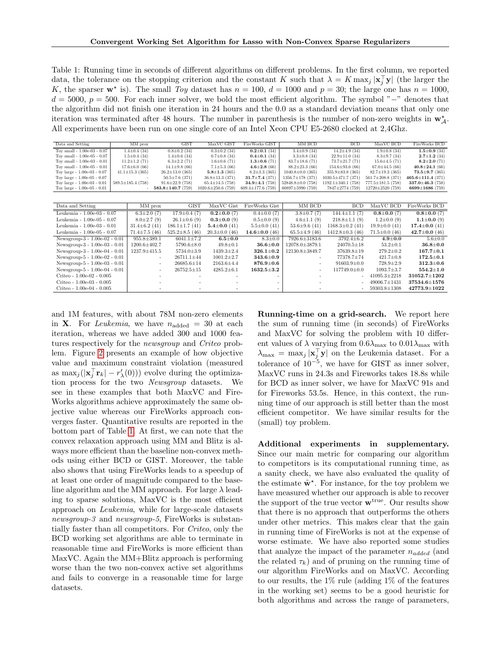<span id="page-7-0"></span>Table 1: Running time in seconds of different algorithms on different problems. In the first column, we reported data, the tolerance on the stopping criterion and the constant K such that  $\lambda = K \max_j |\mathbf{x}_j^{\top} \mathbf{y}|$  (the larger the K, the sparser  $\mathbf{w}^*$  is). The small Toy dataset has  $n = 100$ ,  $d = 1000$  and  $p = 30$ ; the large one has  $n = 1000$ ,  $d = 5000, p = 500$ . For each inner solver, we bold the most efficient algorithm. The symbol "−" denotes that the algorithm did not finish one iteration in 24 hours and the 0.0 as a standard deviation means that only one iteration was terminated after 48 hours. The number in parenthesis is the number of non-zero weights in  $\mathbf{w}_{\mathcal{A}}^{\star}$ . All experiments have been run on one single core of an Intel Xeon CPU E5-2680 clocked at 2,4Ghz.

| Data and Setting                       |                       | MM prox                 |                         | <b>GIST</b>           |                  | MaxVC GIST               | FireWorks GIST          | MM BCD                  | <b>BCD</b>               | MaxVC BCD               | FireWorks BCD           |
|----------------------------------------|-----------------------|-------------------------|-------------------------|-----------------------|------------------|--------------------------|-------------------------|-------------------------|--------------------------|-------------------------|-------------------------|
| Toy small - 1.00e-03 - 0.07            | $1.4 \pm 0.4$ (34)    |                         |                         | $0.8 \pm 0.2$ (34)    |                  | $0.3 \pm 0.2$ (34)       | $0.2 \pm 0.1$ (34)      | $3.4 \pm 0.9$ (34)      | $14.2 \pm 4.9$ (34)      | $1.9 \pm 0.8$ (34)      | $1.5 \pm 0.9$ (34)      |
| Toy small - 1.00e-05 - 0.07            | $1.5 \pm 0.4$ (34)    |                         |                         | $1.4 \pm 0.6$ (34)    |                  | $0.7 \pm 0.8$ (34)       | $0.4 \pm 0.1$ (34)      | $3.3 \pm 0.8$ (34)      | $22.9 \pm 11.0$ (34)     | $8.3 \pm 9.7$ (34)      | $2.7 \pm 1.2$ (34)      |
| Toy small - $1.00e-03 - 0.01$          | $11.2 \pm 1.2$ (71)   |                         |                         | $6.3 \pm 2.2$ (71)    |                  | $1.6 \pm 0.6$ (71)       | $1.3 \pm 0.6$ (71)      | $83.7 \pm 18.6$ (71)    | $73.7 \pm 21.7$ (71)     | $15.6 \pm 4.5$ (71)     | $8.2 \pm 2.0$ (71)      |
| Toy small - $1.00e-05 - 0.01$          | $17.6 \pm 6.0$ (66)   |                         |                         | $14.1 \pm 9.8$ (66)   |                  | $7.1 \pm 5.3$ (66)       | $4.6 \pm 2.8$ (66)      | $88.2 \pm 23.3$ (66)    | $154.6 \pm 93.6$ (66)    | $67.0 \pm 44.5$ (66)    | $40.8 \pm 24.1$ (66)    |
| Toy large - 1.00e-03 - 0.07            | $41.1 \pm 15.3$ (365) |                         |                         | $26.2 \pm 13.0$ (365) |                  | $5.8 \pm 1.3$ (365)      | $8.2 \pm 3.3$ (365)     | $1040.8 \pm 0.0$ (365)  | $355.9 \pm 83.8$ (365)   | $82.7 \pm 19.3$ (365)   | $73.5 \pm 9.7$ (365)    |
| Toy large - 1.00e-05 - 0.07            |                       |                         |                         | $50.5 \pm 7.6$ (371)  |                  | $36.8 \pm 13.3$ (371)    | $31.7 \pm 7.4$ (371)    | $1356.7 \pm 178$ (371)  | $1030.5 \pm 471.7$ (371) | $561.7 \pm 208.8$ (371) | $465.6 \pm 111.4$ (371) |
| Toy large - $1.00e-03 - 0.01$          |                       | $589.5 \pm 185.4$ (758) |                         | $91.6 \pm 22.9$ (758) |                  | $65.4 \pm 14.5$ (758)    | $34.9 \pm 4.1$ (758)    | $52848.8 \pm 0.0$ (758) | $1192.1 \pm 340.1$ (758) | $777.5 \pm 181.5$ (758) | $337.0 \pm 46.3$ (758)  |
| Toy large - $1.00e\hbox{-}05$ - $0.01$ |                       |                         | 583.8 $\pm$ 140.7 (759) |                       |                  | $1020.6 \pm 250.6$ (759) | $609.4 \pm 177.6$ (759) | $60897 \pm 5990$ (759)  | 7847±2774 (759)          | $12720 \pm 2520$ (759)  | 6699±1686 (759)         |
|                                        |                       |                         |                         |                       |                  |                          |                         |                         |                          |                         |                         |
| Data and Setting                       |                       | MM prox                 |                         | <b>GIST</b>           |                  | MaxVC Gist               | FireWorks Gist          | MM BCD                  | <b>BCD</b>               | MaxVC BCD               | FireWorks BCD           |
| Leukemia - 1.00e-03 - 0.07             |                       | $6.3 \pm 2.0$ (7)       | $17.9 \pm 0.4(7)$       |                       |                  | $0.2 \pm 0.0$ (7)        | $0.4 \pm 0.0$ (7)       | $3.8 \pm 0.7(7)$        | $144.4 \pm 1.1(7)$       | $0.8 \pm 0.0(7)$        | $0.8 \pm 0.0$ (7)       |
| Leukemia - 1.00e-05 - 0.07             |                       | $8.0 \pm 2.7(9)$        |                         | $26.1 \pm 0.6$ (9)    |                  | $0.3 \pm 0.0$ (9)        | $0.5 \pm 0.0$ (9)       | $4.6 \pm 1.1(9)$        | $218.8 \pm 1.1(9)$       | $1.2 \pm 0.0$ (9)       | 1.1 $\pm$ 0.0 (9)       |
| Leukemia - 1.00e-03 - 0.01             |                       | $31.4 \pm 6.2$ (41)     |                         | $186.1 \pm 1.7$ (41)  |                  | $5.4 \pm 0.0(41)$        | $5.5 \pm 0.0$ (41)      | $53.6 \pm 9.6$ (41)     | $1168.3 \pm 0.2$ (41)    | $19.9 \pm 0.0$ (41)     | $17.4 \pm 0.0$ (41)     |
| Leukemia - 1.00e-05 - 0.07             |                       | $71.4 \pm 7.5$ (46)     |                         | $525.2 \pm 8.5$ (46)  |                  | $20.3 \pm 0.0$ (46)      | 14.6 $\pm$ 0.0 (46)     | $65.5 \pm 4.9$ (46)     | $1412.8 \pm 0.3$ (46)    | $71.5 \pm 0.0$ (46)     | $42.7 \pm 0.0$ (46)     |
| Newsgroup-3 - 1.00e-02 - 0.01          |                       | $955.8 \pm 389.1$       |                         | $6041.1 \pm 7.2$      |                  | $6.5 \!\pm\! 0.0$        | $8.3 \pm 0.0$           | 7926.6±3183.6           | $3792.4 \pm 6.2$         | $4.9{\pm}0.0$           | $5.6 \pm 0.0$           |
| Newsgroup-3 - 1.00e-03 - 0.01          |                       | $1200.6 \pm 402.7$      |                         | $5790.6 \pm 8.0$      |                  | $49.8 \pm 0.1$           | $36.6 \!\pm\! 0.0$      | 12078.0±3879.1          | $24070.5 \pm 18$         | $53.2 \pm 0.1$          | $36.8 \pm 0.0$          |
| Newsgroup-3 - 1.00e-04 - 0.01          |                       | $1237.9 \pm 415.5$      |                         | $5734.0 \pm 3.9$      |                  | $1439.3 \pm 2.4$         | $326.1 \!\pm\! 0.2$     | 12130.8±3849.7          | $37639.8 \pm 19$         | $279.2 \pm 0.2$         | $167.7 \pm 0.1$         |
| Newsgroup- $5 - 1.00e-02 - 0.01$       |                       |                         |                         | $26711.1 \pm 44$      |                  | $1001.2 \pm 2.7$         | $343.6 \pm 0.9$         |                         | $77378.7 \pm 74$         | $421.7 \pm 0.8$         | $172.5 \pm 0.1$         |
| Newsgroup-5 - 1.00e-03 - 0.01          |                       |                         |                         | $26685.6 \pm 14$      |                  | $2163.6 \pm 4.4$         | $876.9 \!\pm\! 0.6$     | ٠                       | $91603.9 \pm 0.0$        | $728.9 \pm 2.9$         | $312.3 \pm 0.6$         |
| Newsgroup- $5 - 1.00e-04 - 0.01$       |                       |                         | $26752.5 \pm 15$        |                       | $4285.2 \pm 6.1$ | $1632.5 \!\pm\! 3.2$     |                         | $117749.0 \pm 0.0$      | $1093.7 \pm 3.7$         | $554.2 \pm 1.0$         |                         |
| Criteo - 1.00e-02 - 0.005              |                       |                         |                         |                       |                  |                          |                         |                         |                          | $41095.3 \pm 2218$      | $31052.7 \pm 1202$      |
| Criteo - 1.00e-03 - 0.005              |                       |                         |                         |                       |                  |                          |                         |                         |                          | $49006.7 \pm 1431$      | $37534.6 \pm 1576$      |
| Criteo - 1.00e-04 - 0.005              |                       |                         |                         |                       |                  |                          |                         |                         |                          | 59303.8±1308            | $42773.9 \pm 1022$      |

and 1M features, with about 78M non-zero elements in **X**. For *Leukemia*, we have  $n_{\text{added}} = 30$  at each iteration, whereas we have added 300 and 1000 features respectively for the newsgroup and Criteo problem. Figure [2](#page-8-0) presents an example of how objective value and maximum constraint violation (measured as  $\max_j (|\mathbf{x}_j^{\top} \mathbf{r}_k| - r'_{\lambda}(0))$  evolve during the optimization process for the two Newsgroup datasets. We see in these examples that both MaxVC and Fire-Works algorithms achieve approximately the same objective value whereas our FireWorks approach converges faster. Quantitative results are reported in the bottom part of Table [1.](#page-7-0) At first, we can note that the convex relaxation approach using MM and Blitz is always more efficient than the baseline non-convex methods using either BCD or GIST. Moreover, the table also shows that using FireWorks leads to a speedup of at least one order of magnitude compared to the baseline algorithm and the MM approach. For large  $\lambda$  leading to sparse solutions, MaxVC is the most efficient approach on Leukemia, while for large-scale datasets newsgroup-3 and newsgroup-5, FireWorks is substantially faster than all competitors. For Criteo, only the BCD working set algorithms are able to terminate in reasonable time and FireWorks is more efficient than MaxVC. Again the MM+Blitz approach is performing worse than the two non-convex active set algorithms and fails to converge in a reasonable time for large datasets.

Running-time on a grid-search. We report here the sum of running time (in seconds) of FireWorks and MaxVC for solving the problem with 10 different values of  $\lambda$  varying from  $0.6\lambda_{\text{max}}$  to  $0.01\lambda_{\text{max}}$  with  $\lambda_{\text{max}} = \max_j |\mathbf{x}_j^{\top} \mathbf{y}|$  on the Leukemia dataset. For a tolerance of  $10^{-5}$ , we have for GIST as inner solver, MaxVC runs in 24.3s and Fireworks takes 18.8s while for BCD as inner solver, we have for MaxVC 91s and for Fireworks 53.5s. Hence, in this context, the running time of our approach is still better than the most efficient competitor. We have similar results for the (small) toy problem.

Additional experiments in supplementary. Since our main metric for comparing our algorithm to competitors is its computational running time, as a sanity check, we have also evaluated the quality of the estimate  $\tilde{\mathbf{w}}^*$ . For instance, for the toy problem we have measured whether our approach is able to recover the support of the true vector  $\mathbf{w}^{\text{true}}$ . Our results show that there is no approach that outperforms the others under other metrics. This makes clear that the gain in running time of FireWorks is not at the expense of worse estimate. We have also reported some studies that analyze the impact of the parameter  $n_{added}$  (and the related  $\tau_k$ ) and of pruning on the running time of our algorithm FireWorks and on MaxVC. According to our results, the  $1\%$  rule (adding  $1\%$  of the features in the working set) seems to be a good heuristic for both algorithms and across the range of parameters,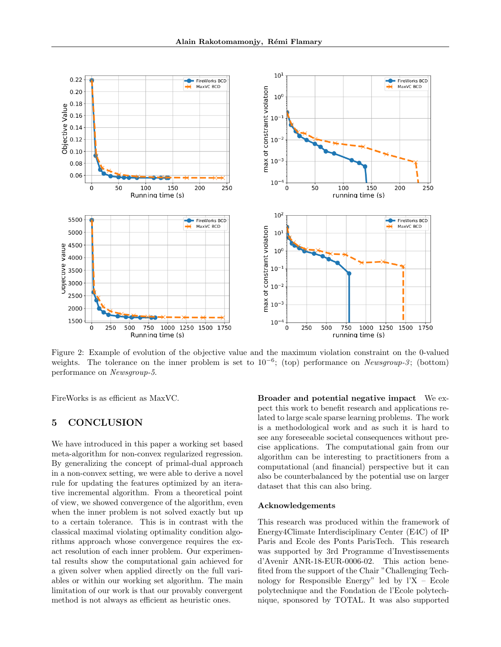

<span id="page-8-0"></span>Figure 2: Example of evolution of the objective value and the maximum violation constraint on the 0-valued weights. The tolerance on the inner problem is set to  $10^{-6}$ ; (top) performance on Newsgroup-3; (bottom) performance on Newsgroup-5.

FireWorks is as efficient as MaxVC.

## 5 CONCLUSION

We have introduced in this paper a working set based meta-algorithm for non-convex regularized regression. By generalizing the concept of primal-dual approach in a non-convex setting, we were able to derive a novel rule for updating the features optimized by an iterative incremental algorithm. From a theoretical point of view, we showed convergence of the algorithm, even when the inner problem is not solved exactly but up to a certain tolerance. This is in contrast with the classical maximal violating optimality condition algorithms approach whose convergence requires the exact resolution of each inner problem. Our experimental results show the computational gain achieved for a given solver when applied directly on the full variables or within our working set algorithm. The main limitation of our work is that our provably convergent method is not always as efficient as heuristic ones.

Broader and potential negative impact We expect this work to benefit research and applications related to large scale sparse learning problems. The work is a methodological work and as such it is hard to see any foreseeable societal consequences without precise applications. The computational gain from our algorithm can be interesting to practitioners from a computational (and financial) perspective but it can also be counterbalanced by the potential use on larger dataset that this can also bring.

#### Acknowledgements

This research was produced within the framework of Energy4Climate Interdisciplinary Center (E4C) of IP Paris and Ecole des Ponts ParisTech. This research was supported by 3rd Programme d'Investissements d'Avenir ANR-18-EUR-0006-02. This action benefited from the support of the Chair "Challenging Technology for Responsible Energy" led by l'X – Ecole polytechnique and the Fondation de l'Ecole polytechnique, sponsored by TOTAL. It was also supported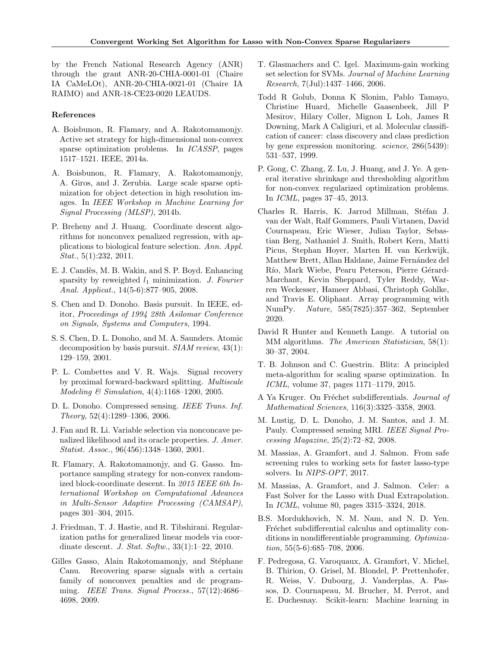by the French National Research Agency (ANR) through the grant ANR-20-CHIA-0001-01 (Chaire IA CaMeLOt), ANR-20-CHIA-0021-01 (Chaire IA RAIMO) and ANR-18-CE23-0020 LEAUDS.

### References

- <span id="page-9-13"></span>A. Boisbunon, R. Flamary, and A. Rakotomamonjy. Active set strategy for high-dimensional non-convex sparse optimization problems. In ICASSP, pages 1517–1521. IEEE, 2014a.
- <span id="page-9-14"></span>A. Boisbunon, R. Flamary, A. Rakotomamonjy, A. Giros, and J. Zerubia. Large scale sparse optimization for object detection in high resolution images. In IEEE Workshop in Machine Learning for Signal Processing (MLSP), 2014b.
- <span id="page-9-6"></span>P. Breheny and J. Huang. Coordinate descent algorithms for nonconvex penalized regression, with applications to biological feature selection. Ann. Appl. Stat., 5(1):232, 2011.
- <span id="page-9-5"></span>E. J. Cand`es, M. B. Wakin, and S. P. Boyd. Enhancing sparsity by reweighted  $l_1$  minimization. J. Fourier Anal. Applicat., 14(5-6):877–905, 2008.
- <span id="page-9-1"></span>S. Chen and D. Donoho. Basis pursuit. In IEEE, editor, Proceedings of 1994 28th Asilomar Conference on Signals, Systems and Computers, 1994.
- <span id="page-9-0"></span>S. S. Chen, D. L. Donoho, and M. A. Saunders. Atomic decomposition by basis pursuit.  $SIAM$  review,  $43(1)$ : 129–159, 2001.
- <span id="page-9-18"></span>P. L. Combettes and V. R. Wajs. Signal recovery by proximal forward-backward splitting. Multiscale Modeling & Simulation, 4(4):1168–1200, 2005.
- <span id="page-9-2"></span>D. L. Donoho. Compressed sensing. IEEE Trans. Inf. Theory, 52(4):1289–1306, 2006.
- <span id="page-9-4"></span>J. Fan and R. Li. Variable selection via nonconcave penalized likelihood and its oracle properties. J. Amer. Statist. Assoc., 96(456):1348–1360, 2001.
- <span id="page-9-8"></span>R. Flamary, A. Rakotomamonjy, and G. Gasso. Importance sampling strategy for non-convex randomized block-coordinate descent. In 2015 IEEE 6th International Workshop on Computational Advances in Multi-Sensor Adaptive Processing (CAMSAP), pages 301–304, 2015.
- <span id="page-9-10"></span>J. Friedman, T. J. Hastie, and R. Tibshirani. Regularization paths for generalized linear models via coordinate descent. J. Stat. Softw., 33(1):1–22, 2010.
- <span id="page-9-21"></span>Gilles Gasso, Alain Rakotomamonjy, and Stéphane Canu. Recovering sparse signals with a certain family of nonconvex penalties and dc programming. IEEE Trans. Signal Process., 57(12):4686– 4698, 2009.
- <span id="page-9-9"></span>T. Glasmachers and C. Igel. Maximum-gain working set selection for SVMs. Journal of Machine Learning Research, 7(Jul):1437–1466, 2006.
- <span id="page-9-22"></span>Todd R Golub, Donna K Slonim, Pablo Tamayo, Christine Huard, Michelle Gaasenbeek, Jill P Mesirov, Hilary Coller, Mignon L Loh, James R Downing, Mark A Caligiuri, et al. Molecular classification of cancer: class discovery and class prediction by gene expression monitoring. science, 286(5439): 531–537, 1999.
- <span id="page-9-7"></span>P. Gong, C. Zhang, Z. Lu, J. Huang, and J. Ye. A general iterative shrinkage and thresholding algorithm for non-convex regularized optimization problems. In ICML, pages 37–45, 2013.
- <span id="page-9-19"></span>Charles R. Harris, K. Jarrod Millman, Stéfan J. van der Walt, Ralf Gommers, Pauli Virtanen, David Cournapeau, Eric Wieser, Julian Taylor, Sebastian Berg, Nathaniel J. Smith, Robert Kern, Matti Picus, Stephan Hoyer, Marten H. van Kerkwijk, Matthew Brett, Allan Haldane, Jaime Fernández del Río, Mark Wiebe, Pearu Peterson, Pierre Gérard-Marchant, Kevin Sheppard, Tyler Reddy, Warren Weckesser, Hameer Abbasi, Christoph Gohlke, and Travis E. Oliphant. Array programming with NumPy. Nature, 585(7825):357–362, September 2020.
- <span id="page-9-20"></span>David R Hunter and Kenneth Lange. A tutorial on MM algorithms. The American Statistician, 58(1): 30–37, 2004.
- <span id="page-9-11"></span>T. B. Johnson and C. Guestrin. Blitz: A principled meta-algorithm for scaling sparse optimization. In ICML, volume 37, pages 1171–1179, 2015.
- <span id="page-9-16"></span>A Ya Kruger. On Fréchet subdifferentials. Journal of Mathematical Sciences, 116(3):3325–3358, 2003.
- <span id="page-9-3"></span>M. Lustig, D. L. Donoho, J. M. Santos, and J. M. Pauly. Compressed sensing MRI. IEEE Signal Processing Magazine, 25(2):72–82, 2008.
- <span id="page-9-15"></span>M. Massias, A. Gramfort, and J. Salmon. From safe screening rules to working sets for faster lasso-type solvers. In NIPS-OPT, 2017.
- <span id="page-9-12"></span>M. Massias, A. Gramfort, and J. Salmon. Celer: a Fast Solver for the Lasso with Dual Extrapolation. In ICML, volume 80, pages 3315–3324, 2018.
- <span id="page-9-17"></span>B.S. Mordukhovich, N. M. Nam, and N. D. Yen. Fréchet subdifferential calculus and optimality conditions in nondifferentiable programming. Optimization, 55(5-6):685–708, 2006.
- <span id="page-9-23"></span>F. Pedregosa, G. Varoquaux, A. Gramfort, V. Michel, B. Thirion, O. Grisel, M. Blondel, P. Prettenhofer, R. Weiss, V. Dubourg, J. Vanderplas, A. Passos, D. Cournapeau, M. Brucher, M. Perrot, and E. Duchesnay. Scikit-learn: Machine learning in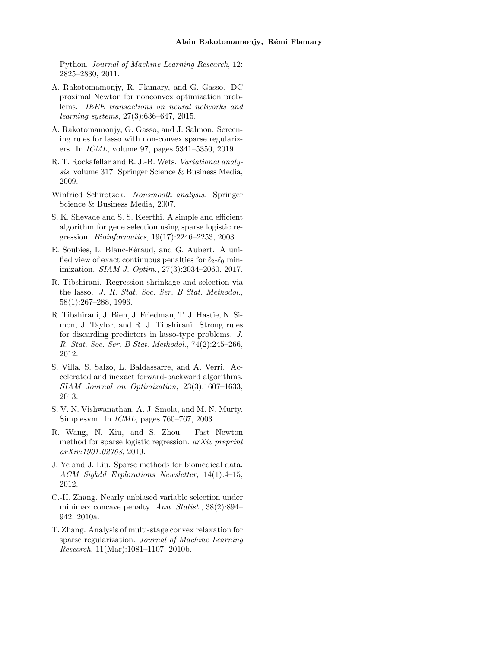Python. Journal of Machine Learning Research, 12: 2825–2830, 2011.

- <span id="page-10-7"></span>A. Rakotomamonjy, R. Flamary, and G. Gasso. DC proximal Newton for nonconvex optimization problems. IEEE transactions on neural networks and learning systems, 27(3):636–647, 2015.
- <span id="page-10-8"></span>A. Rakotomamonjy, G. Gasso, and J. Salmon. Screening rules for lasso with non-convex sparse regularizers. In ICML, volume 97, pages 5341–5350, 2019.
- <span id="page-10-11"></span>R. T. Rockafellar and R. J.-B. Wets. Variational analysis, volume 317. Springer Science & Business Media, 2009.
- <span id="page-10-12"></span>Winfried Schirotzek. Nonsmooth analysis. Springer Science & Business Media, 2007.
- <span id="page-10-1"></span>S. K. Shevade and S. S. Keerthi. A simple and efficient algorithm for gene selection using sparse logistic regression. Bioinformatics, 19(17):2246–2253, 2003.
- <span id="page-10-5"></span>E. Soubies, L. Blanc-Féraud, and G. Aubert. A unified view of exact continuous penalties for  $\ell_2-\ell_0$  minimization. SIAM J. Optim., 27(3):2034–2060, 2017.
- <span id="page-10-0"></span>R. Tibshirani. Regression shrinkage and selection via the lasso. J. R. Stat. Soc. Ser. B Stat. Methodol., 58(1):267–288, 1996.
- <span id="page-10-10"></span>R. Tibshirani, J. Bien, J. Friedman, T. J. Hastie, N. Simon, J. Taylor, and R. J. Tibshirani. Strong rules for discarding predictors in lasso-type problems. J. R. Stat. Soc. Ser. B Stat. Methodol., 74(2):245–266, 2012.
- <span id="page-10-13"></span>S. Villa, S. Salzo, L. Baldassarre, and A. Verri. Accelerated and inexact forward-backward algorithms. SIAM Journal on Optimization, 23(3):1607–1633, 2013.
- <span id="page-10-9"></span>S. V. N. Vishwanathan, A. J. Smola, and M. N. Murty. Simplesvm. In ICML, pages 760–767, 2003.
- <span id="page-10-6"></span>R. Wang, N. Xiu, and S. Zhou. Fast Newton method for sparse logistic regression. arXiv preprint arXiv:1901.02768, 2019.
- <span id="page-10-2"></span>J. Ye and J. Liu. Sparse methods for biomedical data. ACM Sigkdd Explorations Newsletter, 14(1):4–15, 2012.
- <span id="page-10-4"></span>C.-H. Zhang. Nearly unbiased variable selection under minimax concave penalty. Ann. Statist., 38(2):894– 942, 2010a.
- <span id="page-10-3"></span>T. Zhang. Analysis of multi-stage convex relaxation for sparse regularization. Journal of Machine Learning Research, 11(Mar):1081–1107, 2010b.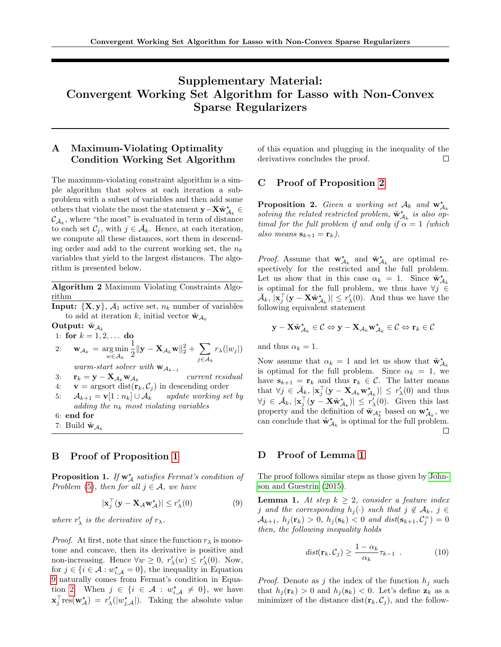# Supplementary Material: Convergent Working Set Algorithm for Lasso with Non-Convex Sparse Regularizers

# A Maximum-Violating Optimality Condition Working Set Algorithm

The maximum-violating constraint algorithm is a simple algorithm that solves at each iteration a subproblem with a subset of variables and then add some others that violate the most the statement  $\mathbf{y}-\mathbf{X}\tilde{\mathbf{w}}_{\mathcal{A}_k}^{\star} \in$  $\mathcal{C}_{\bar{\mathcal{A}}_k}$ , where "the most" is evaluated in term of distance to each set  $\mathcal{C}_j$ , with  $j \in \bar{\mathcal{A}}_k$ . Hence, at each iteration, we compute all these distances, sort them in descending order and add to the current working set, the  $n_k$ variables that yield to the largest distances. The algorithm is presented below.

Algorithm 2 Maximum Violating Constraints Algorithm

<span id="page-11-0"></span>**Input:**  $\{X, y\}, \mathcal{A}_1$  active set,  $n_k$  number of variables to add at iteration k, initial vector  $\tilde{\mathbf{w}}_{A_0}$ 

Output:  $\tilde{\mathbf{w}}_{\mathcal{A}_k}$ 

1: for 
$$
k = 1, 2, ...
$$
 do  
\n2:  $\mathbf{w}_{\mathcal{A}_k} = \underset{w \in \mathcal{A}_k}{\arg \min} \frac{1}{2} ||\mathbf{y} - \mathbf{X}_{\mathcal{A}_k} \mathbf{w}||_2^2 + \sum_{j \in \mathcal{A}_k} r_\lambda(|w_j|)$   
\n*warm-start solver with*  $\mathbf{w}_{\mathcal{A}_{k-1}}$ 

3:  $\mathbf{r}_k = \mathbf{y} - \mathbf{X}_{\mathcal{A}_k} \mathbf{w}_{\mathcal{A}_k}$ current residual

- 4:  $\mathbf{v} = \text{argsort dist}(\mathbf{r}_k, C_j)$  in descending order
- 5:  $\mathcal{A}_{k+1} = \mathbf{v}[1:n_k] \cup \mathcal{A}_k$  update working set by adding the  $n_k$  most violating variables
- 6: end for
- 7: Build  $\tilde{\mathbf{w}}_{\mathcal{A}_k}$

### B Proof of Proposition [1](#page-2-2)

**Proposition 1.** If  $w^*_{\mathcal{A}}$  satisfies Fermat's condition of Problem [\(5\)](#page-2-1), then for all  $j \in A$ , we have

<span id="page-11-1"></span>
$$
|\mathbf{x}_j^{\top}(\mathbf{y} - \mathbf{X}_{\mathcal{A}} \mathbf{w}_{\mathcal{A}}^{\star})| \le r_{\lambda}'(0)
$$
 (9)

where  $r'_{\lambda}$  is the derivative of  $r_{\lambda}$ .

*Proof.* At first, note that since the function  $r_{\lambda}$  is monotone and concave, then its derivative is positive and non-increasing. Hence  $\forall w \geq 0, r'_{\lambda}(w) \leq r'_{\lambda}(0)$ . Now, for  $j \in \{i \in \mathcal{A} : w_{i,\mathcal{A}}^{\star} = 0\}$ , the inequality in Equation [9](#page-11-1) naturally comes from Fermat's condition in Equa-tion [2.](#page-2-0) When  $j \in \{i \in \mathcal{A} : w_{i,\mathcal{A}}^{\star} \neq 0\}$ , we have  $\mathbf{x}_j^{\top} \text{res}(\mathbf{w}_{\mathcal{A}}^{\star}) = r'_{\lambda}(|w_{j,\mathcal{A}}^{\star}|).$  Taking the absolute value

of this equation and plugging in the inequality of the derivatives concludes the proof.  $\Box$ 

### C Proof of Proposition [2](#page-4-3)

**Proposition 2.** Given a working set  $A_k$  and  $\mathbf{w}_{A_k}^{\star}$ solving the related restricted problem,  $\tilde{\mathbf{w}}_{A_k}^{\star}$  is also optimal for the full problem if and only if  $\alpha = 1$  (which also means  $\mathbf{s}_{k+1} = \mathbf{r}_k$ ).

*Proof.* Assume that  $\mathbf{w}_{\mathcal{A}_k}^{\star}$  and  $\tilde{\mathbf{w}}_{\mathcal{A}_k}^{\star}$  are optimal respectively for the restricted and the full problem. Let us show that in this case  $\alpha_k = 1$ . Since  $\tilde{\mathbf{w}}^{\star}_{\mathcal{A}_k}$ is optimal for the full problem, we thus have  $\forall j \in$  $\bar{\mathcal{A}}_k$ ,  $|\mathbf{x}_j^{\top}(\mathbf{y} - \mathbf{X}\tilde{\mathbf{w}}^{\star}_{\mathcal{A}_k})| \leq r'_{\lambda}(0)$ . And thus we have the following equivalent statement

$$
\mathbf{y}-\mathbf{X}\tilde{\mathbf{w}}_{\mathcal{A}_k}^{\star} \in \mathcal{C} \Leftrightarrow \mathbf{y}-\mathbf{X}_{\mathcal{A}_k}\mathbf{w}_{\mathcal{A}_k}^{\star} \in \mathcal{C} \Leftrightarrow \mathbf{r}_k \in \mathcal{C}
$$

and thus  $\alpha_k = 1$ .

Now assume that  $\alpha_k = 1$  and let us show that  $\tilde{\mathbf{w}}^{\star}_{\mathcal{A}_k}$ is optimal for the full problem. Since  $\alpha_k = 1$ , we have  $\mathbf{s}_{k+1} = \mathbf{r}_k$  and thus  $\mathbf{r}_k \in \mathcal{C}$ . The latter means that  $\forall j \in \bar{\mathcal{A}}_k$ ,  $|\mathbf{x}_j^{\top}(\mathbf{y} - \mathbf{X}_{\mathcal{A}_k} \mathbf{w}_{\mathcal{A}_k}^*)| \leq r'_{\lambda}(0)$  and thus  $\forall j \in \bar{\mathcal{A}}_k, |\mathbf{x}_j^{\top}(\mathbf{y} - \mathbf{X}\tilde{\mathbf{w}}^{\star}_{\mathcal{A}_k})| \leq r'_{\lambda}(0)$ . Given this last property and the definition of  $\tilde{\mathbf{w}}_{A_k^*}$  based on  $\mathbf{w}_{A_k}^*$ , we can conclude that  $\tilde{\mathbf{w}}_{A_k}^{\star}$  is optimal for the full problem.  $\Box$ 

### D Proof of Lemma [1](#page-4-2)

The proof follows similar steps as those given by [John](#page-9-11)[son and Guestrin](#page-9-11) [\(2015\)](#page-9-11).

**Lemma 1.** At step  $k \geq 2$ , consider a feature index j and the corresponding  $h_i(\cdot)$  such that  $j \notin \mathcal{A}_k$ ,  $j \in$  $\mathcal{A}_{k+1}, h_j(\mathbf{r}_k) > 0, h_j(\mathbf{s}_k) < 0 \text{ and } dist(\mathbf{s}_{k+1}, \mathcal{C}_j^{\pm}) = 0$ then, the following inequality holds

$$
dist(\mathbf{r}_k, \mathcal{C}_j) \ge \frac{1 - \alpha_k}{\alpha_k} \tau_{k-1} . \tag{10}
$$

*Proof.* Denote as j the index of the function  $h_j$  such that  $h_j(\mathbf{r}_k) > 0$  and  $h_j(\mathbf{s}_k) < 0$ . Let's define  $\mathbf{z}_k$  as a minimizer of the distance dist $(\mathbf{r}_k, \mathcal{C}_j)$ , and the follow-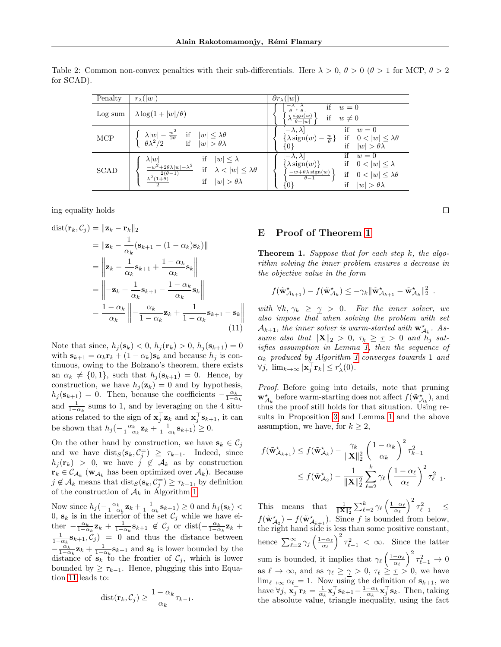| Penalty     | $r_{\lambda}(w )$                                                                                                                                                                                                 | $\overline{\partial r_{\lambda}}( w )$                                                                                                                                                                                                                   |
|-------------|-------------------------------------------------------------------------------------------------------------------------------------------------------------------------------------------------------------------|----------------------------------------------------------------------------------------------------------------------------------------------------------------------------------------------------------------------------------------------------------|
| Log sum     | $\lambda \log(1+ w /\theta)$                                                                                                                                                                                      | if<br>$\frac{-\lambda}{\theta}, \frac{\lambda}{\theta}$<br>$w=0$<br>sign(w)<br>if $w \neq 0$<br>$\sqrt{\lambda \frac{1}{\theta +  w }}$                                                                                                                  |
| MCP         | $\begin{cases} \lambda  w  - \frac{w^2}{2\theta} & \text{if} \quad  w  \leq \lambda \theta \\ \theta \lambda^2 / 2 & \text{if} \quad  w  > \theta \lambda \end{cases}$                                            | $\left[-\lambda,\lambda\right]$<br>if<br>$w=0$<br>$\{\lambda \operatorname{sign}(w) - \frac{w}{\theta}\}\$<br>if $0 <  w  \leq \lambda \theta$<br>$\{0\}$<br>if<br>$ w  > \theta\lambda$                                                                 |
| <b>SCAD</b> | $\lambda  w $<br>if $ w  \leq \lambda$<br>$-w^2+2\theta\lambda w -\lambda^2$<br>if $\lambda <  w  \leq \lambda \theta$<br>$\frac{2(\theta-1)}{2(\theta-1)}$<br>$\lambda^2(1+\theta)$<br>if $ w  > \theta \lambda$ | if $w=0$<br>$\left\vert -\lambda ,\lambda \right\vert$<br>if $0 <  w  \leq \lambda$<br>$\{\lambda \text{sign}(w)\}\$<br>$-w+\theta\lambda\operatorname{sign}(w)$<br>if $0 <  w  \leq \lambda \theta$<br>$\theta-1$<br>{0}<br>$ w  > \theta\lambda$<br>if |

<span id="page-12-0"></span>Table 2: Common non-convex penalties with their sub-differentials. Here  $\lambda > 0$ ,  $\theta > 0$  ( $\theta > 1$  for MCP,  $\theta > 2$ ) for SCAD).

ing equality holds

$$
\text{dist}(\mathbf{r}_k, \mathcal{C}_j) = \|\mathbf{z}_k - \mathbf{r}_k\|_2
$$
\n
$$
= \|\mathbf{z}_k - \frac{1}{\alpha_k}(\mathbf{s}_{k+1} - (1 - \alpha_k)\mathbf{s}_k)\|
$$
\n
$$
= \left\|\mathbf{z}_k - \frac{1}{\alpha_k}\mathbf{s}_{k+1} + \frac{1 - \alpha_k}{\alpha_k}\mathbf{s}_k\right\|
$$
\n
$$
= \left\|-\mathbf{z}_k + \frac{1}{\alpha_k}\mathbf{s}_{k+1} - \frac{1 - \alpha_k}{\alpha_k}\mathbf{s}_k\right\|
$$
\n
$$
= \frac{1 - \alpha_k}{\alpha_k} \left\|-\frac{\alpha_k}{1 - \alpha_k}\mathbf{z}_k + \frac{1}{1 - \alpha_k}\mathbf{s}_{k+1} - \mathbf{s}_k\right\|
$$
\n(11)

Note that since,  $h_j(s_k) < 0, h_j(r_k) > 0, h_j(s_{k+1}) = 0$ with  $\mathbf{s}_{k+1} = \alpha_k \mathbf{r}_k + (1 - \alpha_k) \mathbf{s}_k$  and because  $h_j$  is continuous, owing to the Bolzano's theorem, there exists an  $\alpha_k \neq \{0, 1\}$ , such that  $h_j(\mathbf{s}_{k+1}) = 0$ . Hence, by construction, we have  $h_i(\mathbf{z}_k) = 0$  and by hypothesis,  $h_j(\mathbf{s}_{k+1}) = 0$ . Then, because the coefficients  $-\frac{\alpha_k}{1-\alpha_k}$ and  $\frac{1}{1-\alpha_k}$  sums to 1, and by leveraging on the 4 situations related to the sign of  $\mathbf{x}_j^{\top} \mathbf{z}_k$  and  $\mathbf{x}_j^{\top} \mathbf{s}_{k+1}$ , it can be shown that  $h_j(-\frac{\alpha_k}{1-\alpha_k}\mathbf{z}_k + \frac{1}{1-\alpha_k}\mathbf{s}_{k+1}) \geq 0$ .

On the other hand by construction, we have  $s_k \in C_j$ and we have  $dist_S(s_k, C_j^-) \geq \tau_{k-1}$ . Indeed, since  $h_j(\mathbf{r}_k) > 0$ , we have  $j \notin \mathcal{A}_k$  as by construction  $\mathbf{r}_k \in \mathcal{C}_{\mathcal{A}_k}$  ( $\mathbf{w}_{\mathcal{A}_k}$  has been optimized over  $\mathcal{A}_k$ ). Because  $j \notin \mathcal{A}_k$  means that  $dist_S(\mathbf{s}_k, \mathcal{C}_j^{\equiv}) \geq \tau_{k-1}$ , by definition of the construction of  $\mathcal{A}_k$  in Algorithm [1.](#page-3-0)

Now since  $h_j(-\frac{\alpha_k}{1-\alpha_k}\mathbf{z}_k + \frac{1}{1-\alpha_k}\mathbf{s}_{k+1}) \geq 0$  and  $h_j(\mathbf{s}_k)$ 0,  $\mathbf{s}_k$  is in the interior of the set  $\mathcal{C}_j$  while we have either  $-\frac{\alpha_k}{1-\alpha_k}\mathbf{z}_k + \frac{1}{1-\alpha_k}\mathbf{s}_{k+1} \notin C_j$  or dist $\left(-\frac{\alpha_k}{1-\alpha_k}\mathbf{z}_k + \cdots\right)$  $\frac{1}{1-\alpha_k}$ **s**<sub>k+1</sub>,  $C_j$ ) = 0 and thus the distance between  $-\frac{\alpha_k}{1-\alpha_k}\mathbf{z}_k + \frac{1}{1-\alpha_k}\mathbf{s}_{k+1}$  and  $\mathbf{s}_k$  is lower bounded by the distance of  $s_k$  to the frontier of  $\mathcal{C}_j$ , which is lower bounded by  $\geq \tau_{k-1}$ . Hence, plugging this into Equation [11](#page-12-1) leads to:

$$
dist(\mathbf{r}_k, C_j) \ge \frac{1 - \alpha_k}{\alpha_k} \tau_{k-1}.
$$

## E Proof of Theorem [1](#page-5-0)

**Theorem 1.** Suppose that for each step  $k$ , the algorithm solving the inner problem ensures a decrease in the objective value in the form

$$
f(\tilde{\mathbf{w}}_{\mathcal{A}_{k+1}}^{\star}) - f(\tilde{\mathbf{w}}_{\mathcal{A}_k}^{\star}) \leq -\gamma_k \|\tilde{\mathbf{w}}_{\mathcal{A}_{k+1}}^{\star} - \tilde{\mathbf{w}}_{\mathcal{A}_k}^{\star}\|_2^2.
$$

<span id="page-12-1"></span>with  $\forall k, \gamma_k \geq \gamma > 0$ . For the inner solver, we also impose that when solving the problem with set  $\mathcal{A}_{k+1}$ , the inner solver is warm-started with  $\mathbf{w}_{\mathcal{A}_k}^{\star}$ . Assume also that  $\|\mathbf{X}\|_2 > 0$ ,  $\tau_k \geq \tau > 0$  and  $h_j$  satisfies assumption in Lemma [1,](#page-4-2) then the sequence of  $\alpha_k$  produced by Algorithm [1](#page-3-0) converges towards 1 and  $\forall j, \lim_{k \to \infty} |\mathbf{x}_j^{\top} \mathbf{r}_k| \leq r_{\lambda}'(0).$ 

Proof. Before going into details, note that pruning  $\mathbf{w}_{\mathcal{A}_k}^{\star}$  before warm-starting does not affect  $f(\tilde{\mathbf{w}}_{\mathcal{A}_k}^{\star}),$  and thus the proof still holds for that situation. Using results in Proposition [3](#page-4-1) and Lemma [1](#page-4-2) and the above assumption, we have, for  $k \geq 2$ ,

$$
f(\tilde{\mathbf{w}}_{\mathcal{A}_{k+1}}^{\star}) \le f(\tilde{\mathbf{w}}_{\mathcal{A}_{k}}^{\star}) - \frac{\gamma_{k}}{\|\mathbf{X}\|_{2}^{2}} \left(\frac{1-\alpha_{k}}{\alpha_{k}}\right)^{2} \tau_{k-1}^{2}
$$
  

$$
\le f(\tilde{\mathbf{w}}_{\mathcal{A}_{2}}^{\star}) - \frac{1}{\|\mathbf{X}\|_{2}^{2}} \sum_{\ell=2}^{k} \gamma_{\ell} \left(\frac{1-\alpha_{\ell}}{\alpha_{\ell}}\right)^{2} \tau_{\ell-1}^{2}.
$$

This means that  $\frac{1}{\|\mathbf{X}\|_2^2} \sum_{\ell=2}^k \gamma_\ell \left(\frac{1-\alpha_\ell}{\alpha_\ell}\right)^2 \tau_{\ell-1}^2 \leq$  $f(\tilde{\mathbf{w}}_{A_2}^{\star}) - f(\tilde{\mathbf{w}}_{A_{k+1}}^{\star}).$  Since f is bounded from below, the right hand side is less than some positive constant, hence  $\sum_{\ell=2}^{\infty} \gamma_j \left(\frac{1-\alpha_{\ell}}{\alpha_{\ell}}\right)^2 \tau_{\ell-1}^2 < \infty$ . Since the latter sum is bounded, it implies that  $\gamma_{\ell} \left(\frac{1-\alpha_{\ell}}{\alpha_{\ell}}\right)^2 \tau_{\ell-1}^2 \to 0$ as  $\ell \to \infty$ , and as  $\gamma_{\ell} \geq \gamma > 0$ ,  $\tau_{\ell} \geq \tau > 0$ , we have  $\lim_{\ell \to \infty} \alpha_{\ell} = 1$ . Now using the definition of  $s_{k+1}$ , we have  $\forall j$ ,  $\mathbf{x}_j^{\top} \mathbf{r}_k = \frac{1}{\alpha_k} \mathbf{x}_j^{\top} \mathbf{s}_{k+1} - \frac{1-\alpha_k}{\alpha_k} \mathbf{x}_j^{\top} \mathbf{s}_k$ . Then, taking the absolute value, triangle inequality, using the fact

 $\Box$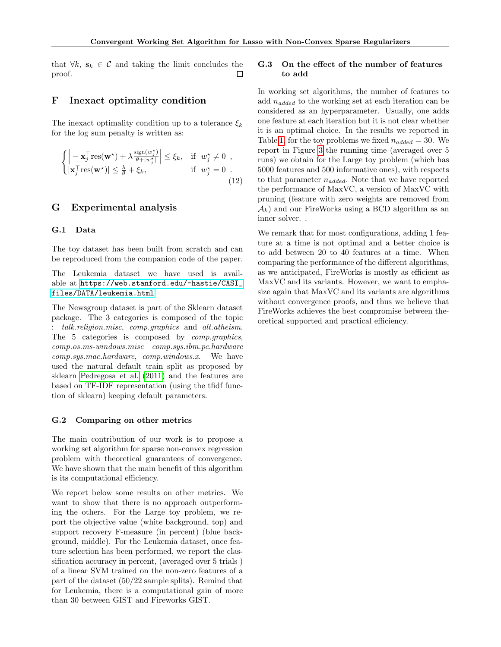that  $\forall k, s_k \in \mathcal{C}$  and taking the limit concludes the proof.  $\Box$ 

### <span id="page-13-0"></span>F Inexact optimality condition

The inexact optimality condition up to a tolerance  $\xi_k$ for the log sum penalty is written as:

$$
\begin{cases}\n\left| -\mathbf{x}_j^{\top} \text{res}(\mathbf{w}^{\star}) + \lambda \frac{\text{sign}(w_j^{\star})}{\theta + |w_j^{\star}|} \right| \leq \xi_k, & \text{if } w_j^{\star} \neq 0, \\
|\mathbf{x}_j^{\top} \text{res}(\mathbf{w}^{\star})| \leq \frac{\lambda}{\theta} + \xi_k, & \text{if } w_j^{\star} = 0. \n\end{cases}
$$
\n(12)

## G Experimental analysis

### G.1 Data

The toy dataset has been built from scratch and can be reproduced from the companion code of the paper.

The Leukemia dataset we have used is available at [https://web.stanford.edu/~hastie/CASI\\_](https://web.stanford.edu/~hastie/CASI_files/DATA/leukemia.html) [files/DATA/leukemia.html](https://web.stanford.edu/~hastie/CASI_files/DATA/leukemia.html)

The Newsgroup dataset is part of the Sklearn dataset package. The 3 categories is composed of the topic : talk.religion.misc, comp.graphics and alt.atheism. The 5 categories is composed by comp.graphics, comp.os.ms-windows.misc comp.sys.ibm.pc.hardware comp.sys.mac.hardware, comp.windows.x. We have used the natural default train split as proposed by sklearn [Pedregosa et al.](#page-9-23) [\(2011\)](#page-9-23) and the features are based on TF-IDF representation (using the tfidf function of sklearn) keeping default parameters.

### G.2 Comparing on other metrics

The main contribution of our work is to propose a working set algorithm for sparse non-convex regression problem with theoretical guarantees of convergence. We have shown that the main benefit of this algorithm is its computational efficiency.

We report below some results on other metrics. We want to show that there is no approach outperforming the others. For the Large toy problem, we report the objective value (white background, top) and support recovery F-measure (in percent) (blue background, middle). For the Leukemia dataset, once feature selection has been performed, we report the classification accuracy in percent, (averaged over 5 trials ) of a linear SVM trained on the non-zero features of a part of the dataset (50/22 sample splits). Remind that for Leukemia, there is a computational gain of more than 30 between GIST and Fireworks GIST.

### G.3 On the effect of the number of features to add

In working set algorithms, the number of features to add  $n_{added}$  to the working set at each iteration can be considered as an hyperparameter. Usually, one adds one feature at each iteration but it is not clear whether it is an optimal choice. In the results we reported in Table [1,](#page-7-0) for the toy problems we fixed  $n_{added} = 30$ . We report in Figure [3](#page-14-0) the running time (averaged over 5 runs) we obtain for the Large toy problem (which has 5000 features and 500 informative ones), with respects to that parameter  $n_{added}$ . Note that we have reported the performance of MaxVC, a version of MaxVC with pruning (feature with zero weights are removed from  $\mathcal{A}_k$ ) and our FireWorks using a BCD algorithm as an inner solver. .

We remark that for most configurations, adding 1 feature at a time is not optimal and a better choice is to add between 20 to 40 features at a time. When comparing the performance of the different algorithms, as we anticipated, FireWorks is mostly as efficient as MaxVC and its variants. However, we want to emphasize again that MaxVC and its variants are algorithms without convergence proofs, and thus we believe that FireWorks achieves the best compromise between theoretical supported and practical efficiency.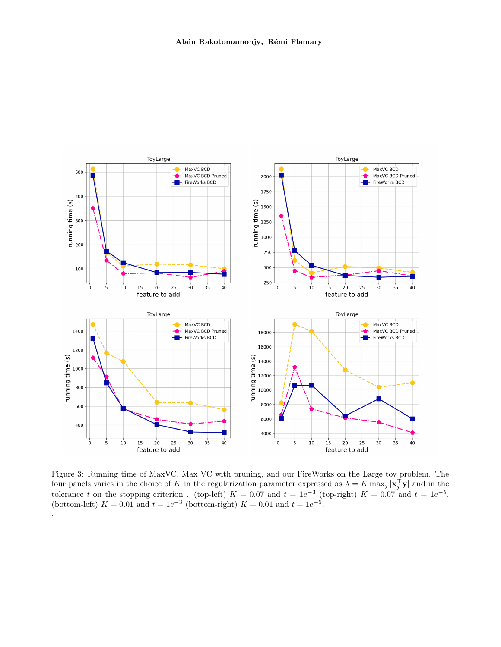

<span id="page-14-0"></span>Figure 3: Running time of MaxVC, Max VC with pruning, and our FireWorks on the Large toy problem. The four panels varies in the choice of K in the regularization parameter expressed as  $\lambda = K \max_j |\mathbf{x}_j^{\top} \mathbf{y}|$  and in the tolerance t on the stopping criterion. (top-left)  $K = 0.07$  and  $t = 1e^{-3}$  (top-right)  $K = 0.07$  and  $t = 1e^{-5}$ . (bottom-left)  $K = 0.01$  and  $t = 1e^{-3}$  (bottom-right)  $K = 0.01$  and  $t = 1e^{-5}$ .

.